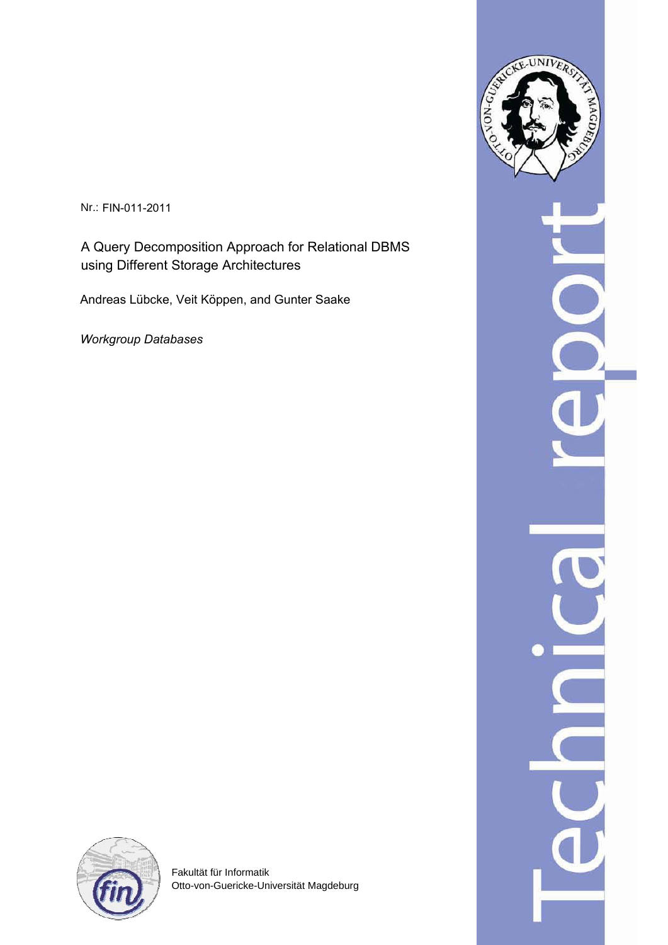Nr.: FIN-011-2011

A Query Decomposition Approach for Relational DBMS using Different Storage Architectures

Andreas Lübcke, Veit Köppen, and Gunter Saake

*Workgroup Databases*



Fakultät für Informatik Otto-von-Guericke-Universität Magdeburg

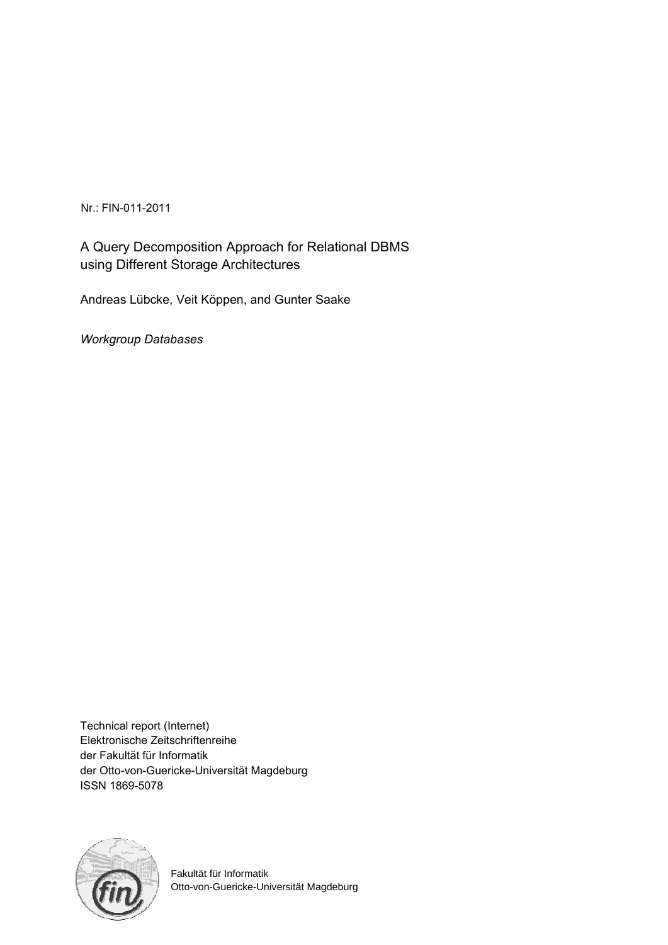Nr.: FIN-011-2011

A Query Decomposition Approach for Relational DBMS using Different Storage Architectures

Andreas Lübcke, Veit Köppen, and Gunter Saake

*Workgroup Databases*

Technical report (Internet) Elektronische Zeitschriftenreihe der Fakultät für Informatik der Otto-von-Guericke-Universität Magdeburg ISSN 1869-5078



Fakultät für Informatik Otto-von-Guericke-Universität Magdeburg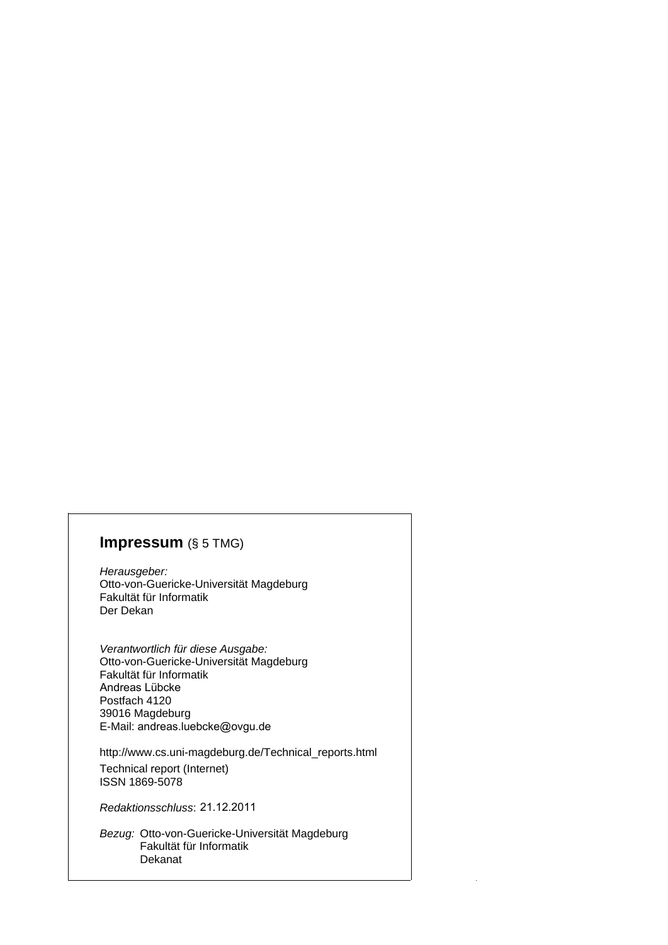# **Impressum** (§ 5 TMG)

*Herausgeber:*  Otto-von-Guericke-Universität Magdeburg Fakultät für Informatik Der Dekan

*Verantwortlich für diese Ausgabe:*  Otto-von-Guericke-Universität Magdeburg Fakultät für Informatik Postfach 4120 39016 Magdeburg E-Mail: andreas.luebcke@ovgu.de Andreas Lübcke

http://www.cs.uni-magdeburg.de/Technical\_reports.html Technical report (Internet) ISSN 1869-5078

*Redaktionsschluss*: 21.12.2011

*Bezug:* Otto-von-Guericke-Universität Magdeburg Fakultät für Informatik Dekanat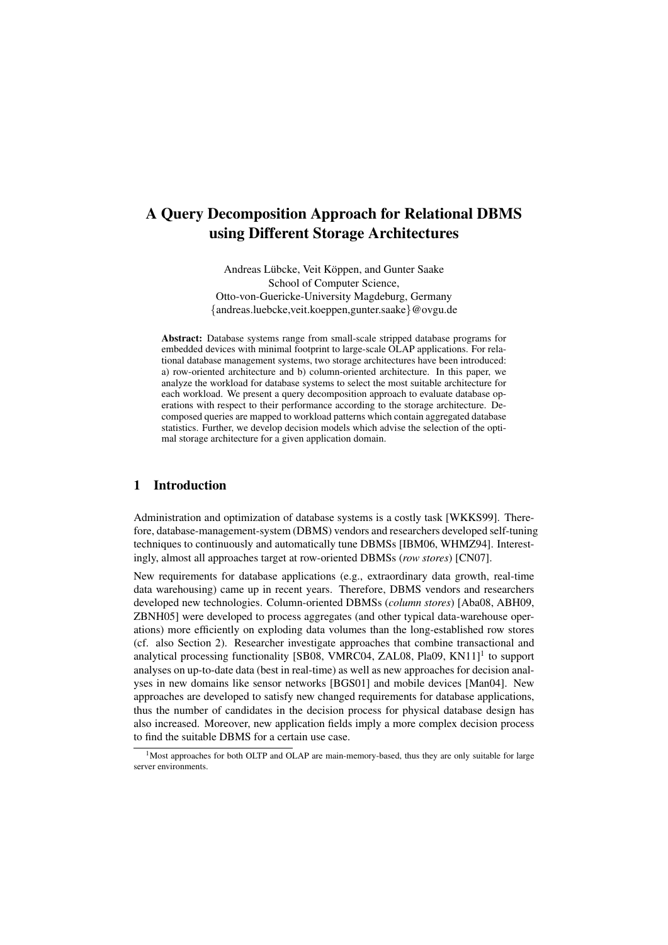# A Query Decomposition Approach for Relational DBMS using Different Storage Architectures

Andreas Lübcke, Veit Köppen, and Gunter Saake School of Computer Science, Otto-von-Guericke-University Magdeburg, Germany {andreas.luebcke,veit.koeppen,gunter.saake}@ovgu.de

Abstract: Database systems range from small-scale stripped database programs for embedded devices with minimal footprint to large-scale OLAP applications. For relational database management systems, two storage architectures have been introduced: a) row-oriented architecture and b) column-oriented architecture. In this paper, we analyze the workload for database systems to select the most suitable architecture for each workload. We present a query decomposition approach to evaluate database operations with respect to their performance according to the storage architecture. Decomposed queries are mapped to workload patterns which contain aggregated database statistics. Further, we develop decision models which advise the selection of the optimal storage architecture for a given application domain.

### 1 Introduction

Administration and optimization of database systems is a costly task [WKKS99]. Therefore, database-management-system (DBMS) vendors and researchers developed self-tuning techniques to continuously and automatically tune DBMSs [IBM06, WHMZ94]. Interestingly, almost all approaches target at row-oriented DBMSs (*row stores*) [CN07].

New requirements for database applications (e.g., extraordinary data growth, real-time data warehousing) came up in recent years. Therefore, DBMS vendors and researchers developed new technologies. Column-oriented DBMSs (*column stores*) [Aba08, ABH09, ZBNH05] were developed to process aggregates (and other typical data-warehouse operations) more efficiently on exploding data volumes than the long-established row stores (cf. also Section 2). Researcher investigate approaches that combine transactional and analytical processing functionality [SB08, VMRC04, ZAL08, Pla09, KN11]<sup>1</sup> to support analyses on up-to-date data (best in real-time) as well as new approaches for decision analyses in new domains like sensor networks [BGS01] and mobile devices [Man04]. New approaches are developed to satisfy new changed requirements for database applications, thus the number of candidates in the decision process for physical database design has also increased. Moreover, new application fields imply a more complex decision process to find the suitable DBMS for a certain use case.

<sup>&</sup>lt;sup>1</sup>Most approaches for both OLTP and OLAP are main-memory-based, thus they are only suitable for large server environments.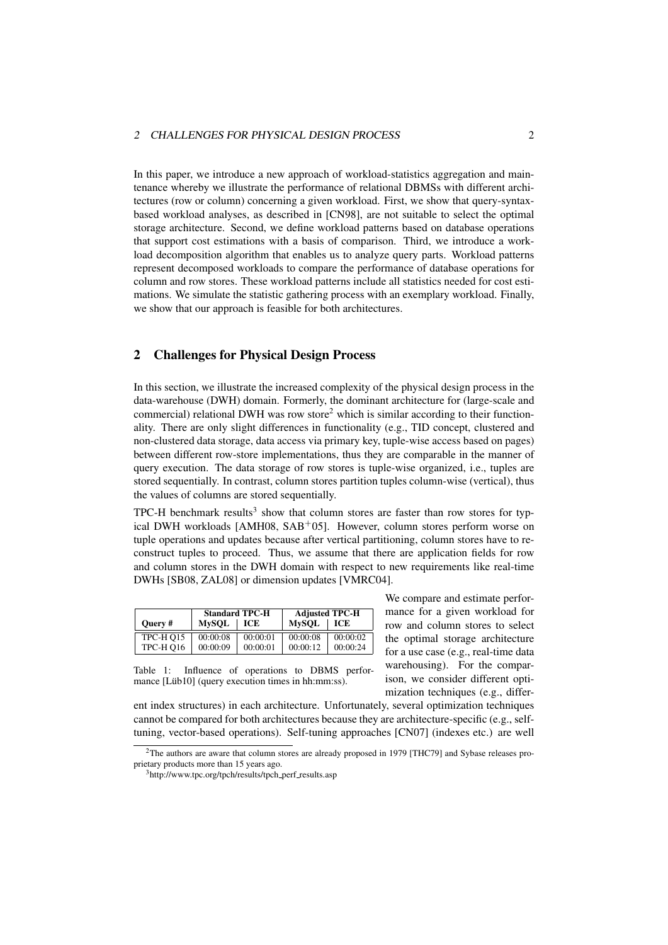#### 2 CHALLENGES FOR PHYSICAL DESIGN PROCESS 2

In this paper, we introduce a new approach of workload-statistics aggregation and maintenance whereby we illustrate the performance of relational DBMSs with different architectures (row or column) concerning a given workload. First, we show that query-syntaxbased workload analyses, as described in [CN98], are not suitable to select the optimal storage architecture. Second, we define workload patterns based on database operations that support cost estimations with a basis of comparison. Third, we introduce a workload decomposition algorithm that enables us to analyze query parts. Workload patterns represent decomposed workloads to compare the performance of database operations for column and row stores. These workload patterns include all statistics needed for cost estimations. We simulate the statistic gathering process with an exemplary workload. Finally, we show that our approach is feasible for both architectures.

### 2 Challenges for Physical Design Process

In this section, we illustrate the increased complexity of the physical design process in the data-warehouse (DWH) domain. Formerly, the dominant architecture for (large-scale and commercial) relational DWH was row store<sup>2</sup> which is similar according to their functionality. There are only slight differences in functionality (e.g., TID concept, clustered and non-clustered data storage, data access via primary key, tuple-wise access based on pages) between different row-store implementations, thus they are comparable in the manner of query execution. The data storage of row stores is tuple-wise organized, i.e., tuples are stored sequentially. In contrast, column stores partition tuples column-wise (vertical), thus the values of columns are stored sequentially.

TPC-H benchmark results<sup>3</sup> show that column stores are faster than row stores for typical DWH workloads [AMH08,  $SAB<sup>+</sup>05$ ]. However, column stores perform worse on tuple operations and updates because after vertical partitioning, column stores have to reconstruct tuples to proceed. Thus, we assume that there are application fields for row and column stores in the DWH domain with respect to new requirements like real-time DWHs [SB08, ZAL08] or dimension updates [VMRC04].

|           | <b>Standard TPC-H</b> |          |              |          | <b>Adjusted TPC-H</b> |  |
|-----------|-----------------------|----------|--------------|----------|-----------------------|--|
| Ouery#    | <b>MvSOL</b>          | ICE      | <b>MvSOL</b> | ICE      |                       |  |
| TPC-H Q15 | 00:00:08              | 00:00:01 | 00:00:08     | 00:00:02 |                       |  |
| TPC-H Q16 | 00:00:09              | 00:00:01 | 00:00:12     | 00:00:24 |                       |  |

Table 1: Influence of operations to DBMS perfor-

We compare and estimate performance for a given workload for row and column stores to select the optimal storage architecture for a use case (e.g., real-time data warehousing). For the comparison, we consider different optimization techniques (e.g., differ-

mance [Lüb10] (query execution times in hh:mm:ss). ent index structures) in each architecture. Unfortunately, several optimization techniques

cannot be compared for both architectures because they are architecture-specific (e.g., selftuning, vector-based operations). Self-tuning approaches [CN07] (indexes etc.) are well

<sup>&</sup>lt;sup>2</sup>The authors are aware that column stores are already proposed in 1979 [THC79] and Sybase releases proprietary products more than 15 years ago.

<sup>&</sup>lt;sup>3</sup>http://www.tpc.org/tpch/results/tpch\_perf\_results.asp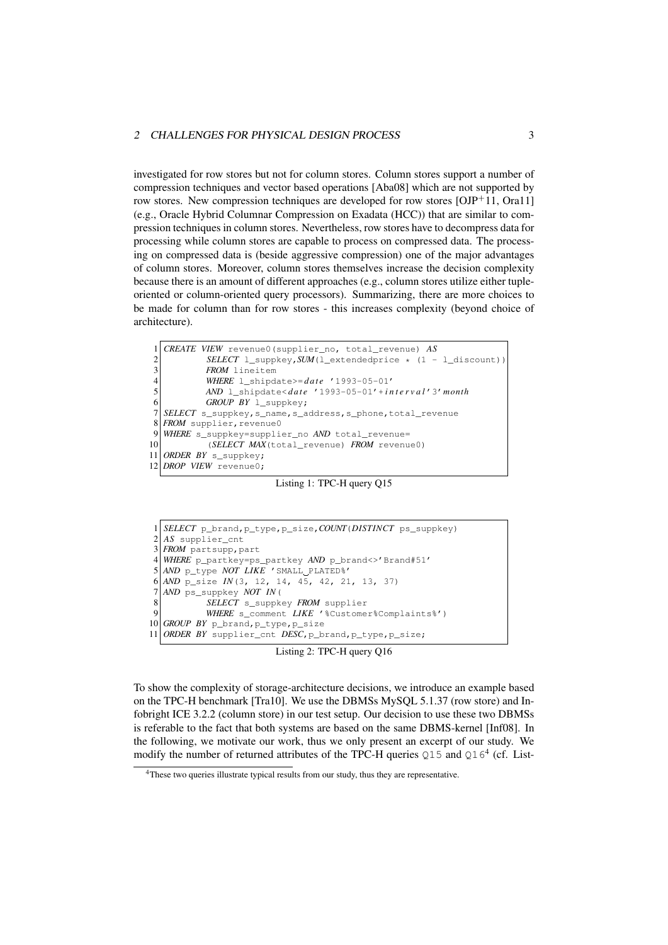investigated for row stores but not for column stores. Column stores support a number of compression techniques and vector based operations [Aba08] which are not supported by row stores. New compression techniques are developed for row stores  $[OJP+11, Ora11]$ (e.g., Oracle Hybrid Columnar Compression on Exadata (HCC)) that are similar to compression techniques in column stores. Nevertheless, row stores have to decompress data for processing while column stores are capable to process on compressed data. The processing on compressed data is (beside aggressive compression) one of the major advantages of column stores. Moreover, column stores themselves increase the decision complexity because there is an amount of different approaches (e.g., column stores utilize either tupleoriented or column-oriented query processors). Summarizing, there are more choices to be made for column than for row stores - this increases complexity (beyond choice of architecture).

```
1 CREATE VIEW revenue0(supplier_no, total_revenue) AS
2 SELECT l_suppkey, SUM(l_extendedprice * (1 - l_discount))<br>FROM lineitem
3<br>
FROM lineitem<br>
WHERE l shind
           4 WHERE l_shipdate>=d at e '1993-05-01'
5 AND l_shipdate<d at e '1993-05-01'+ i n t e r v a l '3'month
6 GROUP BY l_suppkey;
  SELECT s_suppkey, s_name, s_address, s_phone, total_revenue
8 FROM supplier, revenue0
9 WHERE s_suppkey=supplier_no AND total_revenue=
10 (SELECT MAX(total_revenue) FROM revenue0)
11 ORDER BY s_suppkey;
12 DROP VIEW revenue0;
```
Listing 1: TPC-H query Q15

|                | $1 SELECT \text{ p\_brand}, \text{ p\_type}, \text{ p\_size}, COUNT(DISTINCT \text{ ps\_suppkey})$ |
|----------------|----------------------------------------------------------------------------------------------------|
|                | $2 AS$ supplier_cnt                                                                                |
|                | $3$ <i>FROM</i> partsupp, part                                                                     |
|                | 4 WHERE p_partkey=ps_partkey AND p_brand<>'Brand#51'                                               |
|                | $5 AND$ p type <i>NOT LIKE</i> 'SMALL PLATED <sup>8</sup> '                                        |
|                | $6 AND$ p_size $IN(3, 12, 14, 45, 42, 21, 13, 37)$                                                 |
|                | $7 AND$ ps suppkey NOT IN(                                                                         |
| 8 <sup>1</sup> | SELECT s_suppkey FROM supplier                                                                     |
| 9              | WHERE s_comment LIKE '%Customer%Complaints%')                                                      |
|                | 10 GROUP BY $p$ brand, $p$ type, $p$ size                                                          |
|                | 11 ORDER BY supplier_cnt DESC, p_brand, p_type, p_size;                                            |

Listing 2: TPC-H query Q16

To show the complexity of storage-architecture decisions, we introduce an example based on the TPC-H benchmark [Tra10]. We use the DBMSs MySQL 5.1.37 (row store) and Infobright ICE 3.2.2 (column store) in our test setup. Our decision to use these two DBMSs is referable to the fact that both systems are based on the same DBMS-kernel [Inf08]. In the following, we motivate our work, thus we only present an excerpt of our study. We modify the number of returned attributes of the TPC-H queries  $Q15$  and  $Q16<sup>4</sup>$  (cf. List-

<sup>&</sup>lt;sup>4</sup>These two queries illustrate typical results from our study, thus they are representative.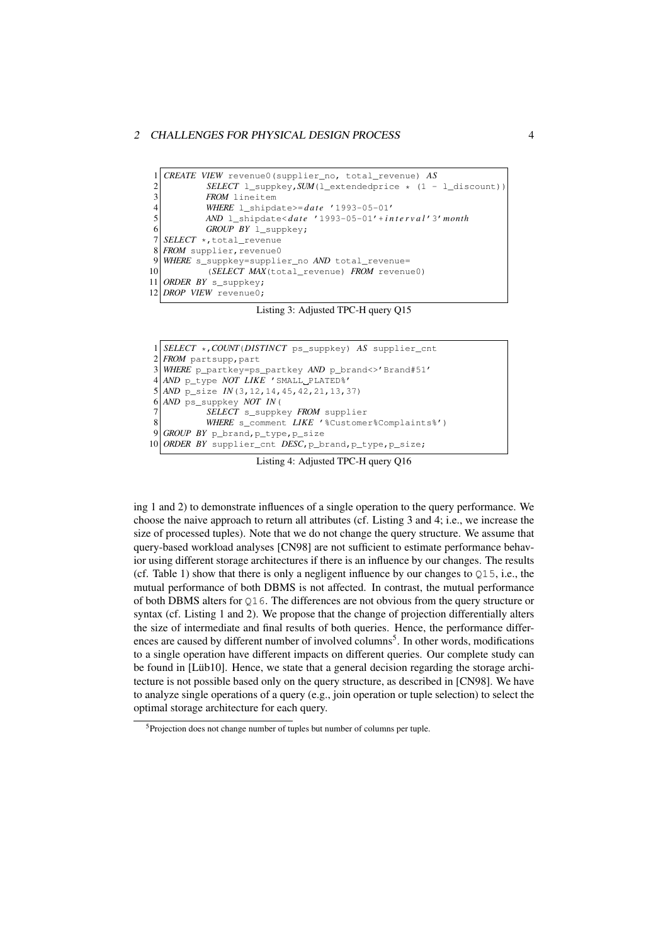```
1 CREATE VIEW revenue0(supplier_no, total_revenue) AS
2 SELECT l_suppkey, SUM(l_extendedprice * (1 - l_discount))<br>FROM lineitem
3 FROM lineitem<br>4 WHERE 1 shipd
            4 WHERE l_shipdate>=d at e '1993-05-01'
5 AND l_shipdate<d at e '1993-05-01'+ i n t e r v a l '3'month
6 GROUP BY l_suppkey;
   7 SELECT *,total_revenue
8 FROM supplier, revenue0
9 WHERE s_suppkey=supplier_no AND total_revenue=<br>10 (SELECT MAX(total revenue) FROM revenu
            10 (SELECT MAX(total_revenue) FROM revenue0)
11 ORDER BY s_suppkey;
12 DROP VIEW revenue0;
```
Listing 3: Adjusted TPC-H query Q15

```
1 SELECT *,COUNT(DISTINCT ps_suppkey) AS supplier_cnt
  FROM partsupp, part
3 WHERE p_partkey=ps_partkey AND p_brand<>'Brand#51'
4 AND p_type NOT LIKE 'SMALL PLATED%'
  5 AND p_size IN(3,12,14,45,42,21,13,37)
  6 AND ps_suppkey NOT IN(
          7 SELECT s_suppkey FROM supplier
8 WHERE s_comment LIKE '%Customer%Complaints%')
9 GROUP BY p_brand,p_type,p_size
10 ORDER BY supplier_cnt DESC, p_brand, p_type, p_size;
```
Listing 4: Adjusted TPC-H query Q16

ing 1 and 2) to demonstrate influences of a single operation to the query performance. We choose the naive approach to return all attributes (cf. Listing 3 and 4; i.e., we increase the size of processed tuples). Note that we do not change the query structure. We assume that query-based workload analyses [CN98] are not sufficient to estimate performance behavior using different storage architectures if there is an influence by our changes. The results (cf. Table 1) show that there is only a negligent influence by our changes to  $\circ$ 15, i.e., the mutual performance of both DBMS is not affected. In contrast, the mutual performance of both DBMS alters for Q16. The differences are not obvious from the query structure or syntax (cf. Listing 1 and 2). We propose that the change of projection differentially alters the size of intermediate and final results of both queries. Hence, the performance differences are caused by different number of involved columns<sup>5</sup>. In other words, modifications to a single operation have different impacts on different queries. Our complete study can be found in [Lüb10]. Hence, we state that a general decision regarding the storage architecture is not possible based only on the query structure, as described in [CN98]. We have to analyze single operations of a query (e.g., join operation or tuple selection) to select the optimal storage architecture for each query.

<sup>&</sup>lt;sup>5</sup>Projection does not change number of tuples but number of columns per tuple.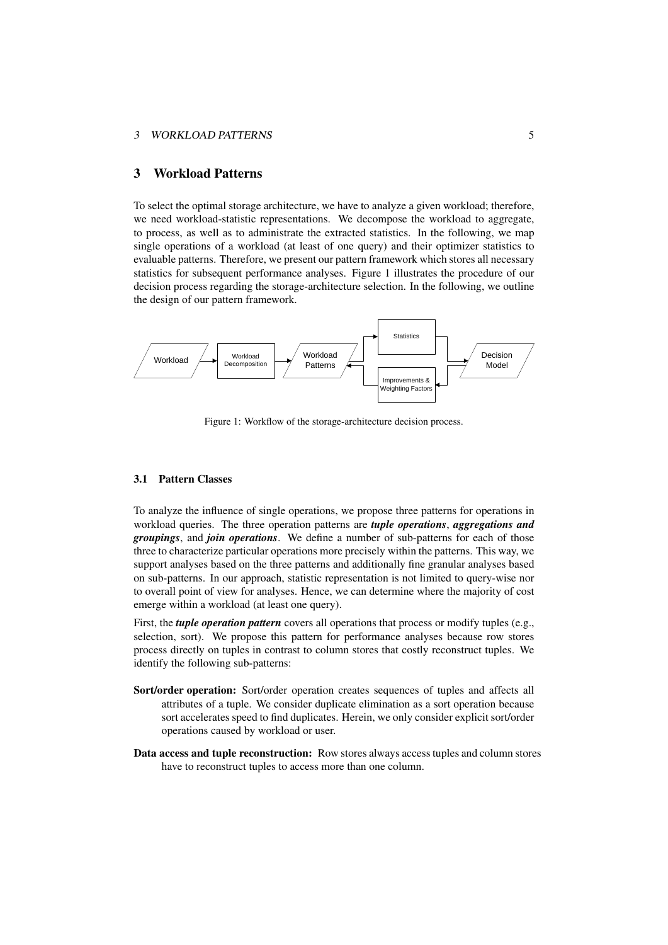#### 3 WORKLOAD PATTERNS 5

### 3 Workload Patterns

To select the optimal storage architecture, we have to analyze a given workload; therefore, we need workload-statistic representations. We decompose the workload to aggregate, to process, as well as to administrate the extracted statistics. In the following, we map single operations of a workload (at least of one query) and their optimizer statistics to evaluable patterns. Therefore, we present our pattern framework which stores all necessary statistics for subsequent performance analyses. Figure 1 illustrates the procedure of our decision process regarding the storage-architecture selection. In the following, we outline the design of our pattern framework.



Figure 1: Workflow of the storage-architecture decision process.

#### 3.1 Pattern Classes

To analyze the influence of single operations, we propose three patterns for operations in workload queries. The three operation patterns are *tuple operations*, *aggregations and groupings*, and *join operations*. We define a number of sub-patterns for each of those three to characterize particular operations more precisely within the patterns. This way, we support analyses based on the three patterns and additionally fine granular analyses based on sub-patterns. In our approach, statistic representation is not limited to query-wise nor to overall point of view for analyses. Hence, we can determine where the majority of cost emerge within a workload (at least one query).

First, the *tuple operation pattern* covers all operations that process or modify tuples (e.g., selection, sort). We propose this pattern for performance analyses because row stores process directly on tuples in contrast to column stores that costly reconstruct tuples. We identify the following sub-patterns:

- Sort/order operation: Sort/order operation creates sequences of tuples and affects all attributes of a tuple. We consider duplicate elimination as a sort operation because sort accelerates speed to find duplicates. Herein, we only consider explicit sort/order operations caused by workload or user.
- Data access and tuple reconstruction: Row stores always access tuples and column stores have to reconstruct tuples to access more than one column.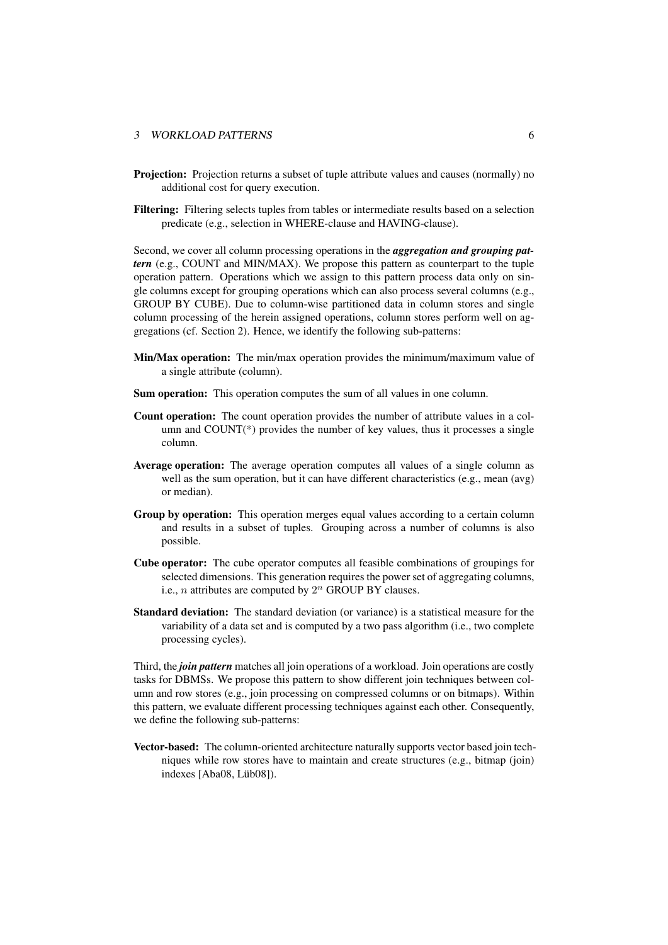#### 3 WORKLOAD PATTERNS 6

- Projection: Projection returns a subset of tuple attribute values and causes (normally) no additional cost for query execution.
- Filtering: Filtering selects tuples from tables or intermediate results based on a selection predicate (e.g., selection in WHERE-clause and HAVING-clause).

Second, we cover all column processing operations in the *aggregation and grouping pattern* (e.g., COUNT and MIN/MAX). We propose this pattern as counterpart to the tuple operation pattern. Operations which we assign to this pattern process data only on single columns except for grouping operations which can also process several columns (e.g., GROUP BY CUBE). Due to column-wise partitioned data in column stores and single column processing of the herein assigned operations, column stores perform well on aggregations (cf. Section 2). Hence, we identify the following sub-patterns:

- Min/Max operation: The min/max operation provides the minimum/maximum value of a single attribute (column).
- Sum operation: This operation computes the sum of all values in one column.
- Count operation: The count operation provides the number of attribute values in a column and COUNT(\*) provides the number of key values, thus it processes a single column.
- Average operation: The average operation computes all values of a single column as well as the sum operation, but it can have different characteristics (e.g., mean (avg) or median).
- Group by operation: This operation merges equal values according to a certain column and results in a subset of tuples. Grouping across a number of columns is also possible.
- Cube operator: The cube operator computes all feasible combinations of groupings for selected dimensions. This generation requires the power set of aggregating columns, i.e., *n* attributes are computed by  $2^n$  GROUP BY clauses.
- Standard deviation: The standard deviation (or variance) is a statistical measure for the variability of a data set and is computed by a two pass algorithm (i.e., two complete processing cycles).

Third, the *join pattern* matches all join operations of a workload. Join operations are costly tasks for DBMSs. We propose this pattern to show different join techniques between column and row stores (e.g., join processing on compressed columns or on bitmaps). Within this pattern, we evaluate different processing techniques against each other. Consequently, we define the following sub-patterns:

Vector-based: The column-oriented architecture naturally supports vector based join techniques while row stores have to maintain and create structures (e.g., bitmap (join) indexes [Aba08, Lüb08]).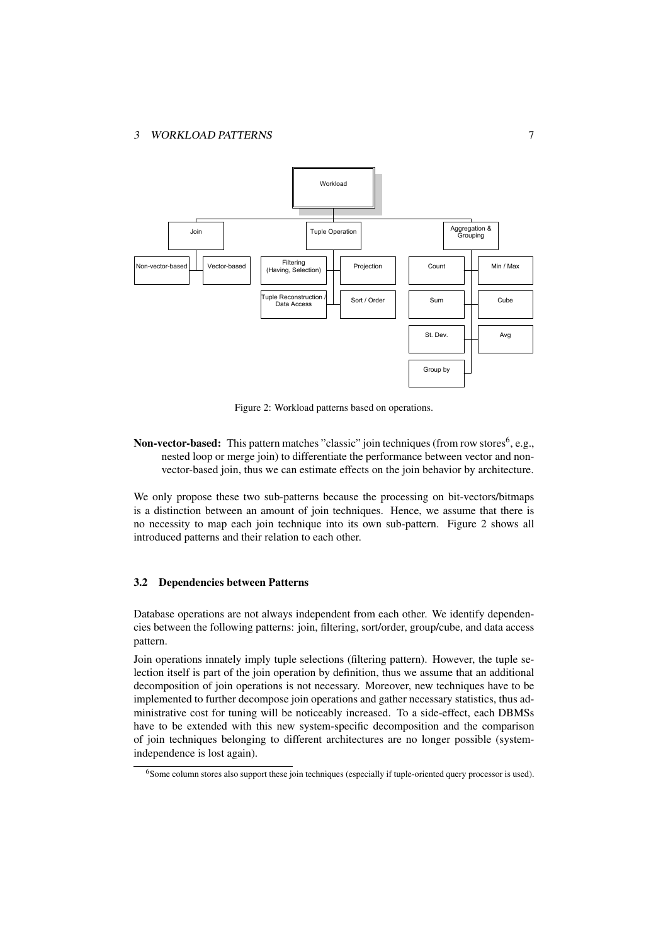

Figure 2: Workload patterns based on operations.

**Non-vector-based:** This pattern matches "classic" join techniques (from row stores<sup>6</sup>, e.g., nested loop or merge join) to differentiate the performance between vector and nonvector-based join, thus we can estimate effects on the join behavior by architecture.

We only propose these two sub-patterns because the processing on bit-vectors/bitmaps is a distinction between an amount of join techniques. Hence, we assume that there is no necessity to map each join technique into its own sub-pattern. Figure 2 shows all introduced patterns and their relation to each other.

#### 3.2 Dependencies between Patterns

Database operations are not always independent from each other. We identify dependencies between the following patterns: join, filtering, sort/order, group/cube, and data access pattern.

Join operations innately imply tuple selections (filtering pattern). However, the tuple selection itself is part of the join operation by definition, thus we assume that an additional decomposition of join operations is not necessary. Moreover, new techniques have to be implemented to further decompose join operations and gather necessary statistics, thus administrative cost for tuning will be noticeably increased. To a side-effect, each DBMSs have to be extended with this new system-specific decomposition and the comparison of join techniques belonging to different architectures are no longer possible (systemindependence is lost again).

<sup>&</sup>lt;sup>6</sup>Some column stores also support these join techniques (especially if tuple-oriented query processor is used).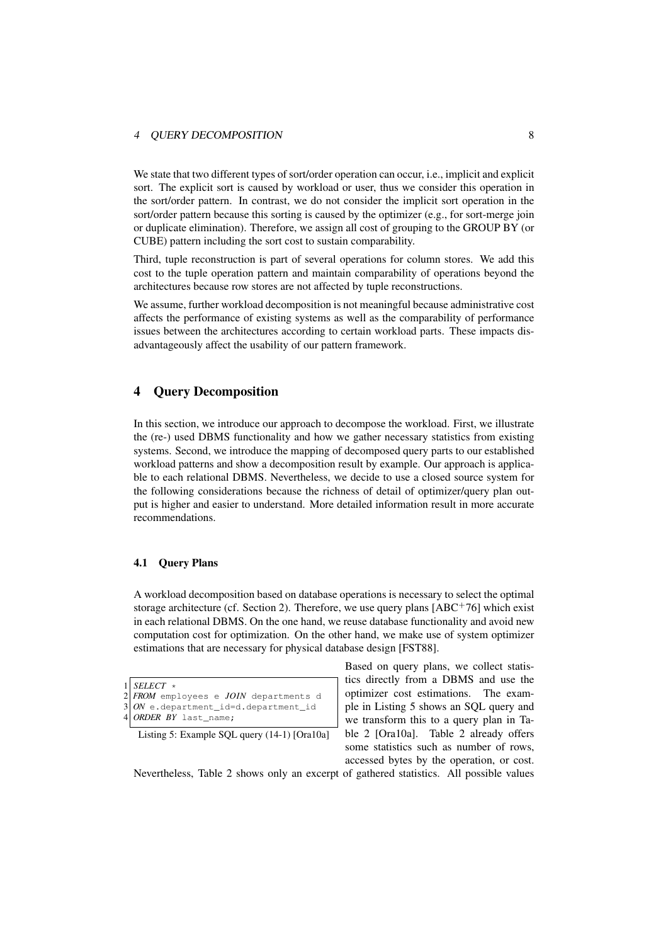#### 4 QUERY DECOMPOSITION 8

We state that two different types of sort/order operation can occur, i.e., implicit and explicit sort. The explicit sort is caused by workload or user, thus we consider this operation in the sort/order pattern. In contrast, we do not consider the implicit sort operation in the sort/order pattern because this sorting is caused by the optimizer (e.g., for sort-merge join or duplicate elimination). Therefore, we assign all cost of grouping to the GROUP BY (or CUBE) pattern including the sort cost to sustain comparability.

Third, tuple reconstruction is part of several operations for column stores. We add this cost to the tuple operation pattern and maintain comparability of operations beyond the architectures because row stores are not affected by tuple reconstructions.

We assume, further workload decomposition is not meaningful because administrative cost affects the performance of existing systems as well as the comparability of performance issues between the architectures according to certain workload parts. These impacts disadvantageously affect the usability of our pattern framework.

### 4 Query Decomposition

In this section, we introduce our approach to decompose the workload. First, we illustrate the (re-) used DBMS functionality and how we gather necessary statistics from existing systems. Second, we introduce the mapping of decomposed query parts to our established workload patterns and show a decomposition result by example. Our approach is applicable to each relational DBMS. Nevertheless, we decide to use a closed source system for the following considerations because the richness of detail of optimizer/query plan output is higher and easier to understand. More detailed information result in more accurate recommendations.

### 4.1 Query Plans

A workload decomposition based on database operations is necessary to select the optimal storage architecture (cf. Section 2). Therefore, we use query plans  $[ABC^+76]$  which exist in each relational DBMS. On the one hand, we reuse database functionality and avoid new computation cost for optimization. On the other hand, we make use of system optimizer estimations that are necessary for physical database design [FST88].

```
\begin{array}{c|c}\n1 & SELECT \neq \\
2 & FROM \neq\n\end{array}2 FROM employees e JOIN departments d
3 ON e.department_id=d.department_id
   4 ORDER BY last_name;
```
Listing 5: Example SQL query (14-1) [Ora10a]

Based on query plans, we collect statistics directly from a DBMS and use the optimizer cost estimations. The example in Listing 5 shows an SQL query and we transform this to a query plan in Table 2 [Ora10a]. Table 2 already offers some statistics such as number of rows, accessed bytes by the operation, or cost.

Nevertheless, Table 2 shows only an excerpt of gathered statistics. All possible values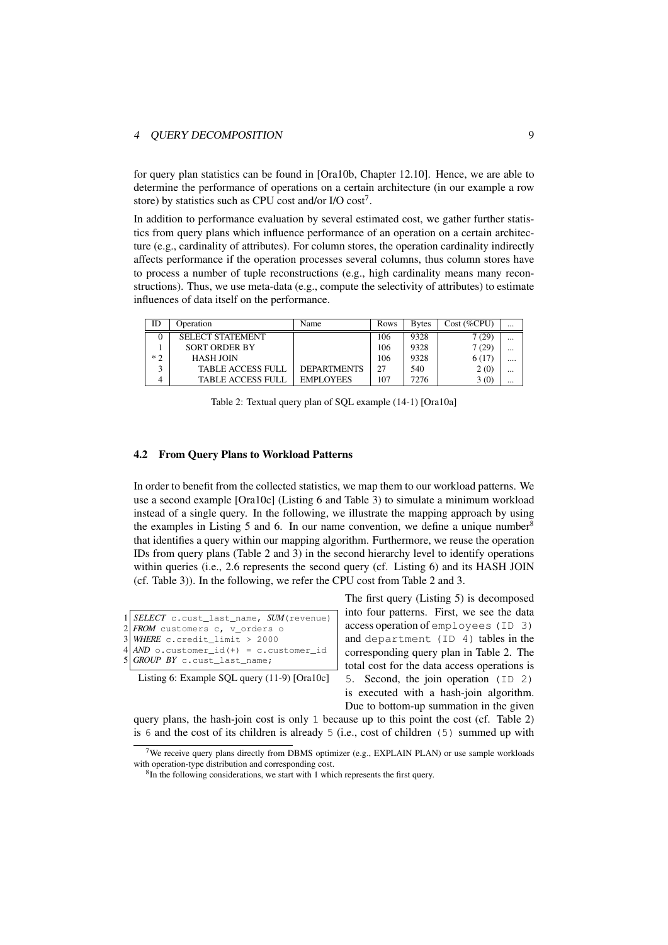#### $\overline{O}$ UERY DECOMPOSITION 9

for query plan statistics can be found in [Ora10b, Chapter 12.10]. Hence, we are able to determine the performance of operations on a certain architecture (in our example a row store) by statistics such as CPU cost and/or I/O cost<sup>7</sup>.

In addition to performance evaluation by several estimated cost, we gather further statistics from query plans which influence performance of an operation on a certain architecture (e.g., cardinality of attributes). For column stores, the operation cardinality indirectly affects performance if the operation processes several columns, thus column stores have to process a number of tuple reconstructions (e.g., high cardinality means many reconstructions). Thus, we use meta-data (e.g., compute the selectivity of attributes) to estimate influences of data itself on the performance.

| ID    | Operation                | Name               | Rows | <b>B</b> vtes | Cost ( %CPU) | $\cdots$ |
|-------|--------------------------|--------------------|------|---------------|--------------|----------|
|       | <b>SELECT STATEMENT</b>  |                    | 106  | 9328          | 7(29)        |          |
|       | <b>SORT ORDER BY</b>     |                    | 106  | 9328          | 7 (29)       |          |
| $*$ つ | HASH JOIN                |                    | 106  | 9328          | 6(17)        |          |
|       | <b>TABLE ACCESS FULL</b> | <b>DEPARTMENTS</b> | 27   | 540           | 2(0)         |          |
|       | <b>TABLE ACCESS FULL</b> | <b>EMPLOYEES</b>   | 107  | 7276          | 3(0)         |          |

Table 2: Textual query plan of SQL example (14-1) [Ora10a]

#### 4.2 From Query Plans to Workload Patterns

In order to benefit from the collected statistics, we map them to our workload patterns. We use a second example [Ora10c] (Listing 6 and Table 3) to simulate a minimum workload instead of a single query. In the following, we illustrate the mapping approach by using the examples in Listing 5 and 6. In our name convention, we define a unique number<sup>8</sup> that identifies a query within our mapping algorithm. Furthermore, we reuse the operation IDs from query plans (Table 2 and 3) in the second hierarchy level to identify operations within queries (i.e., 2.6 represents the second query (cf. Listing 6) and its HASH JOIN (cf. Table 3)). In the following, we refer the CPU cost from Table 2 and 3.

| $1 $ SELECT c.cust_last_name, SUM (revenue)                                                               |
|-----------------------------------------------------------------------------------------------------------|
|                                                                                                           |
|                                                                                                           |
| 2 FROM customers c, v_orders o<br>3 WHERE c.credit_limit > 2000<br>4 AND o.customer_id(+) = c.customer_id |

```
GROUP BY c.cust last name:
```
Listing 6: Example SQL query (11-9) [Ora10c]

The first query (Listing 5) is decomposed into four patterns. First, we see the data access operation of employees (ID 3) and department (ID 4) tables in the corresponding query plan in Table 2. The total cost for the data access operations is 5. Second, the join operation (ID 2) is executed with a hash-join algorithm. Due to bottom-up summation in the given

query plans, the hash-join cost is only 1 because up to this point the cost (cf. Table 2) is 6 and the cost of its children is already 5 (i.e., cost of children  $(5)$  summed up with

<sup>&</sup>lt;sup>7</sup>We receive query plans directly from DBMS optimizer (e.g., EXPLAIN PLAN) or use sample workloads with operation-type distribution and corresponding cost.

<sup>&</sup>lt;sup>8</sup>In the following considerations, we start with 1 which represents the first query.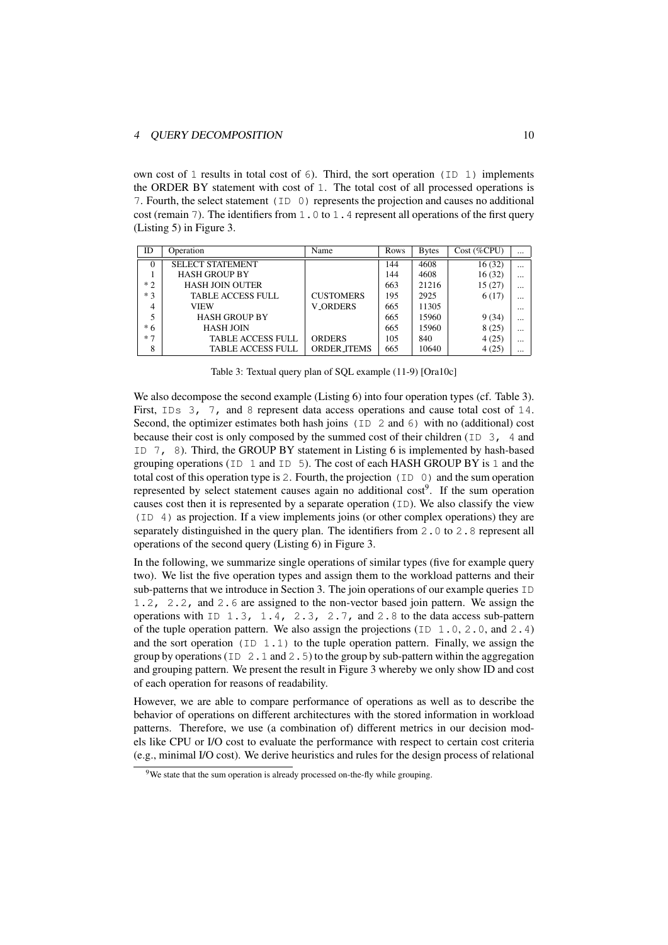### 4 OUERY DECOMPOSITION 10

own cost of 1 results in total cost of  $6$ ). Third, the sort operation (ID 1) implements the ORDER BY statement with cost of 1. The total cost of all processed operations is 7. Fourth, the select statement (ID 0) represents the projection and causes no additional cost (remain 7). The identifiers from 1.0 to 1.4 represent all operations of the first query (Listing 5) in Figure 3.

| ID     | Operation                | Name               | Rows | <b>Bytes</b> | $Cost$ (%CPU) | $\cdots$ |
|--------|--------------------------|--------------------|------|--------------|---------------|----------|
| $_{0}$ | <b>SELECT STATEMENT</b>  |                    | 144  | 4608         | 16(32)        | $\cdots$ |
|        | <b>HASH GROUP BY</b>     |                    | 144  | 4608         | 16(32)        | $\cdots$ |
| $*2$   | <b>HASH JOIN OUTER</b>   |                    | 663  | 21216        | 15(27)        | $\cdots$ |
| $*3$   | <b>TABLE ACCESS FULL</b> | <b>CUSTOMERS</b>   | 195  | 2925         | 6(17)         | $\cdots$ |
| 4      | <b>VIEW</b>              | <b>V_ORDERS</b>    | 665  | 11305        |               | $\cdots$ |
|        | <b>HASH GROUP BY</b>     |                    | 665  | 15960        | 9(34)         | $\cdots$ |
| * 6    | <b>HASH JOIN</b>         |                    | 665  | 15960        | 8(25)         | $\cdots$ |
| $*7$   | <b>TABLE ACCESS FULL</b> | <b>ORDERS</b>      | 105  | 840          | 4(25)         | $\cdots$ |
| 8      | <b>TABLE ACCESS FULL</b> | <b>ORDER ITEMS</b> | 665  | 10640        | 4(25)         | $\cdots$ |

Table 3: Textual query plan of SQL example (11-9) [Ora10c]

We also decompose the second example (Listing 6) into four operation types (cf. Table 3). First, IDs 3, 7, and 8 represent data access operations and cause total cost of 14. Second, the optimizer estimates both hash joins (ID 2 and 6) with no (additional) cost because their cost is only composed by the summed cost of their children ( $ID \ 3$ , 4 and ID 7, 8). Third, the GROUP BY statement in Listing 6 is implemented by hash-based grouping operations ( $ID \ 1$  and  $ID \ 5$ ). The cost of each HASH GROUP BY is 1 and the total cost of this operation type is 2. Fourth, the projection (ID 0) and the sum operation represented by select statement causes again no additional cost<sup>9</sup>. If the sum operation causes cost then it is represented by a separate operation (ID). We also classify the view (ID 4) as projection. If a view implements joins (or other complex operations) they are separately distinguished in the query plan. The identifiers from 2.0 to 2.8 represent all operations of the second query (Listing 6) in Figure 3.

In the following, we summarize single operations of similar types (five for example query two). We list the five operation types and assign them to the workload patterns and their sub-patterns that we introduce in Section 3. The join operations of our example queries ID 1.2, 2.2, and 2.6 are assigned to the non-vector based join pattern. We assign the operations with ID 1.3, 1.4, 2.3, 2.7, and 2.8 to the data access sub-pattern of the tuple operation pattern. We also assign the projections ( $ID \ 1.0, 2.0,$  and  $2.4$ ) and the sort operation (ID 1.1) to the tuple operation pattern. Finally, we assign the group by operations (ID  $2.1$  and  $2.5$ ) to the group by sub-pattern within the aggregation and grouping pattern. We present the result in Figure 3 whereby we only show ID and cost of each operation for reasons of readability.

However, we are able to compare performance of operations as well as to describe the behavior of operations on different architectures with the stored information in workload patterns. Therefore, we use (a combination of) different metrics in our decision models like CPU or I/O cost to evaluate the performance with respect to certain cost criteria (e.g., minimal I/O cost). We derive heuristics and rules for the design process of relational

<sup>&</sup>lt;sup>9</sup>We state that the sum operation is already processed on-the-fly while grouping.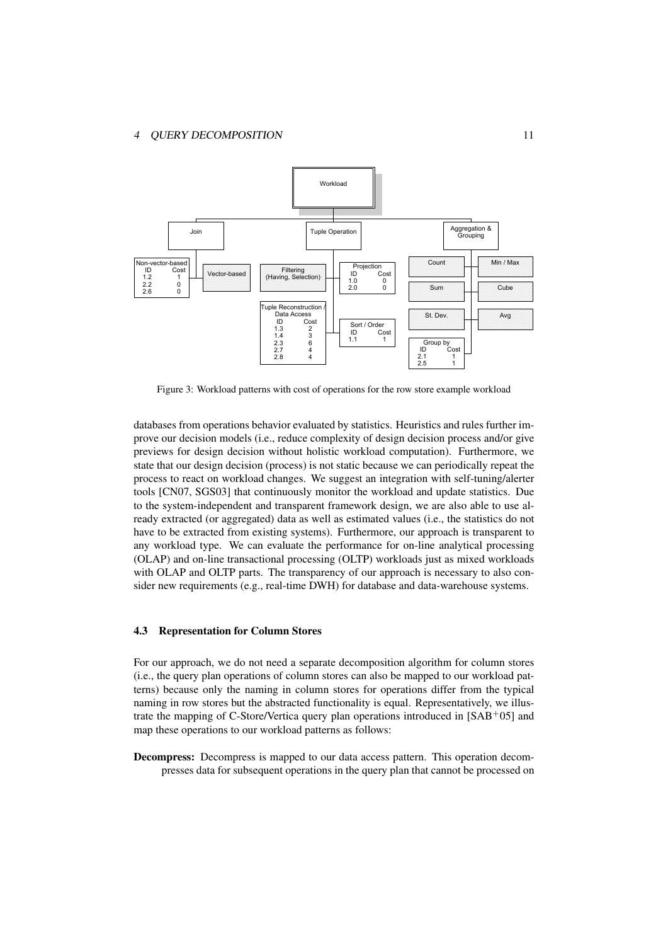

Figure 3: Workload patterns with cost of operations for the row store example workload

databases from operations behavior evaluated by statistics. Heuristics and rules further improve our decision models (i.e., reduce complexity of design decision process and/or give previews for design decision without holistic workload computation). Furthermore, we state that our design decision (process) is not static because we can periodically repeat the process to react on workload changes. We suggest an integration with self-tuning/alerter tools [CN07, SGS03] that continuously monitor the workload and update statistics. Due to the system-independent and transparent framework design, we are also able to use already extracted (or aggregated) data as well as estimated values (i.e., the statistics do not have to be extracted from existing systems). Furthermore, our approach is transparent to any workload type. We can evaluate the performance for on-line analytical processing (OLAP) and on-line transactional processing (OLTP) workloads just as mixed workloads with OLAP and OLTP parts. The transparency of our approach is necessary to also consider new requirements (e.g., real-time DWH) for database and data-warehouse systems.

### 4.3 Representation for Column Stores

For our approach, we do not need a separate decomposition algorithm for column stores (i.e., the query plan operations of column stores can also be mapped to our workload patterns) because only the naming in column stores for operations differ from the typical naming in row stores but the abstracted functionality is equal. Representatively, we illustrate the mapping of C-Store/Vertica query plan operations introduced in  $[SAB<sup>+</sup>05]$  and map these operations to our workload patterns as follows:

Decompress: Decompress is mapped to our data access pattern. This operation decompresses data for subsequent operations in the query plan that cannot be processed on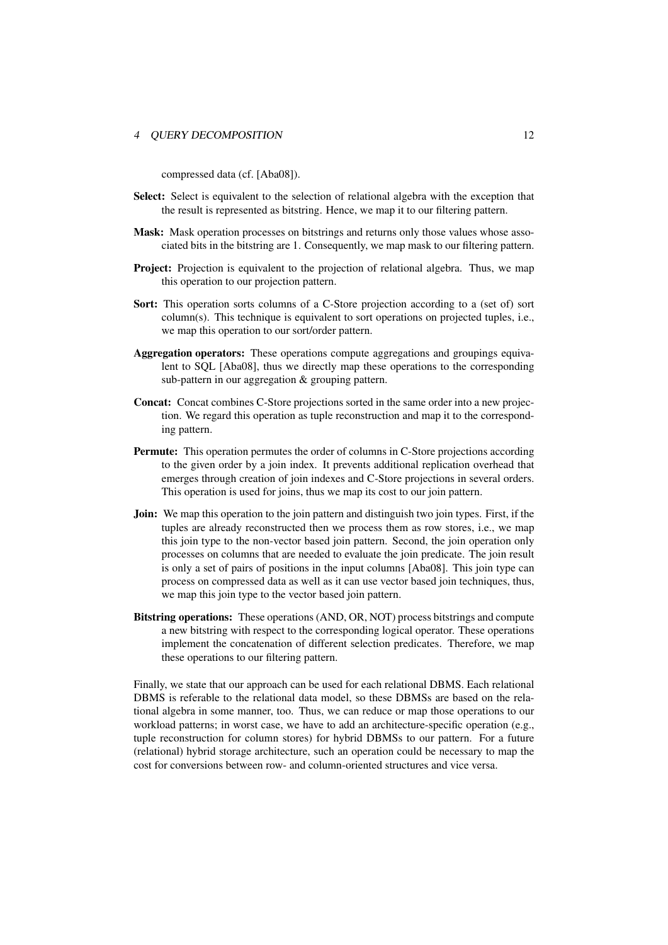#### 4 OUERY DECOMPOSITION 12

compressed data (cf. [Aba08]).

- Select: Select is equivalent to the selection of relational algebra with the exception that the result is represented as bitstring. Hence, we map it to our filtering pattern.
- Mask: Mask operation processes on bitstrings and returns only those values whose associated bits in the bitstring are 1. Consequently, we map mask to our filtering pattern.
- **Project:** Projection is equivalent to the projection of relational algebra. Thus, we map this operation to our projection pattern.
- Sort: This operation sorts columns of a C-Store projection according to a (set of) sort column(s). This technique is equivalent to sort operations on projected tuples, i.e., we map this operation to our sort/order pattern.
- Aggregation operators: These operations compute aggregations and groupings equivalent to SQL [Aba08], thus we directly map these operations to the corresponding sub-pattern in our aggregation & grouping pattern.
- Concat: Concat combines C-Store projections sorted in the same order into a new projection. We regard this operation as tuple reconstruction and map it to the corresponding pattern.
- Permute: This operation permutes the order of columns in C-Store projections according to the given order by a join index. It prevents additional replication overhead that emerges through creation of join indexes and C-Store projections in several orders. This operation is used for joins, thus we map its cost to our join pattern.
- **Join:** We map this operation to the join pattern and distinguish two join types. First, if the tuples are already reconstructed then we process them as row stores, i.e., we map this join type to the non-vector based join pattern. Second, the join operation only processes on columns that are needed to evaluate the join predicate. The join result is only a set of pairs of positions in the input columns [Aba08]. This join type can process on compressed data as well as it can use vector based join techniques, thus, we map this join type to the vector based join pattern.
- Bitstring operations: These operations (AND, OR, NOT) process bitstrings and compute a new bitstring with respect to the corresponding logical operator. These operations implement the concatenation of different selection predicates. Therefore, we map these operations to our filtering pattern.

Finally, we state that our approach can be used for each relational DBMS. Each relational DBMS is referable to the relational data model, so these DBMSs are based on the relational algebra in some manner, too. Thus, we can reduce or map those operations to our workload patterns; in worst case, we have to add an architecture-specific operation (e.g., tuple reconstruction for column stores) for hybrid DBMSs to our pattern. For a future (relational) hybrid storage architecture, such an operation could be necessary to map the cost for conversions between row- and column-oriented structures and vice versa.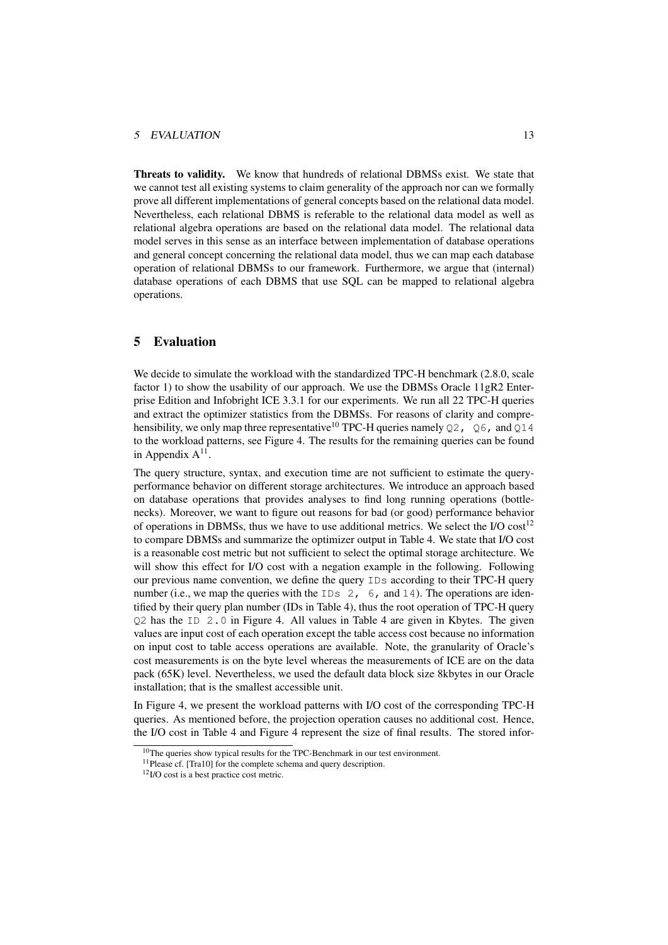#### 5 EVALUATION 13

Threats to validity. We know that hundreds of relational DBMSs exist. We state that we cannot test all existing systems to claim generality of the approach nor can we formally prove all different implementations of general concepts based on the relational data model. Nevertheless, each relational DBMS is referable to the relational data model as well as relational algebra operations are based on the relational data model. The relational data model serves in this sense as an interface between implementation of database operations and general concept concerning the relational data model, thus we can map each database operation of relational DBMSs to our framework. Furthermore, we argue that (internal) database operations of each DBMS that use SQL can be mapped to relational algebra operations.

### 5 Evaluation

We decide to simulate the workload with the standardized TPC-H benchmark (2.8.0, scale factor 1) to show the usability of our approach. We use the DBMSs Oracle  $11gR2$  Enterprise Edition and Infobright ICE 3.3.1 for our experiments. We run all 22 TPC-H queries and extract the optimizer statistics from the DBMSs. For reasons of clarity and comprehensibility, we only map three representative<sup>10</sup> TPC-H queries namely  $Q2$ ,  $Q6$ , and  $Q14$ to the workload patterns, see Figure 4. The results for the remaining queries can be found in Appendix  $A^{11}$ .

The query structure, syntax, and execution time are not sufficient to estimate the queryperformance behavior on different storage architectures. We introduce an approach based on database operations that provides analyses to find long running operations (bottlenecks). Moreover, we want to figure out reasons for bad (or good) performance behavior of operations in DBMSs, thus we have to use additional metrics. We select the I/O cost<sup>12</sup> to compare DBMSs and summarize the optimizer output in Table 4. We state that I/O cost is a reasonable cost metric but not sufficient to select the optimal storage architecture. We will show this effect for I/O cost with a negation example in the following. Following our previous name convention, we define the query IDs according to their TPC-H query number (i.e., we map the queries with the  $IDs \ 2, 6$ , and  $14$ ). The operations are identified by their query plan number (IDs in Table 4), thus the root operation of TPC-H query Q2 has the ID 2.0 in Figure 4. All values in Table 4 are given in Kbytes. The given values are input cost of each operation except the table access cost because no information on input cost to table access operations are available. Note, the granularity of Oracle's cost measurements is on the byte level whereas the measurements of ICE are on the data pack (65K) level. Nevertheless, we used the default data block size 8kbytes in our Oracle installation; that is the smallest accessible unit.

In Figure 4, we present the workload patterns with I/O cost of the corresponding TPC-H queries. As mentioned before, the projection operation causes no additional cost. Hence, the I/O cost in Table 4 and Figure 4 represent the size of final results. The stored infor-

 $10$ The queries show typical results for the TPC-Benchmark in our test environment.

<sup>&</sup>lt;sup>11</sup>Please cf. [Tra10] for the complete schema and query description.

<sup>12</sup>I/O cost is a best practice cost metric.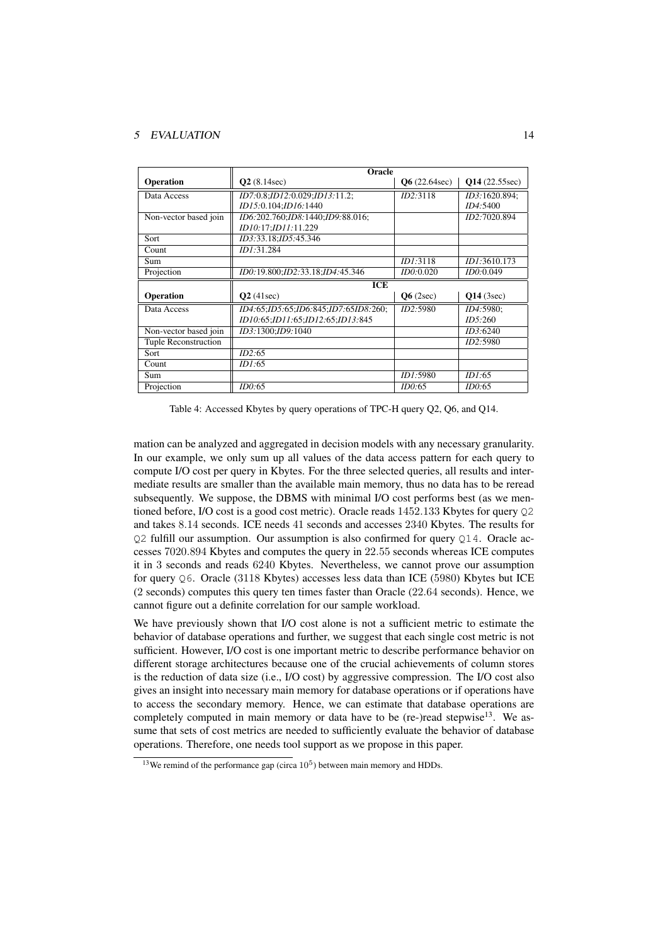#### 5 EVALUATION 14

|                             | Oracle                               |                      |               |  |  |
|-----------------------------|--------------------------------------|----------------------|---------------|--|--|
| Operation                   | Q2(8.14sec)                          | $\bf{06}$ (22.64sec) | Q14(22.55sec) |  |  |
| Data Access                 | ID7:0.8;ID12:0.029;ID13:11.2;        | ID2:3118             | ID3:1620.894; |  |  |
|                             | ID15:0.104;ID16:1440                 |                      | ID4:5400      |  |  |
| Non-vector based join       | ID6:202.760;ID8:1440;ID9:88.016;     |                      | ID2:7020.894  |  |  |
|                             | ID10:17:ID11:11.229                  |                      |               |  |  |
| Sort                        | ID3:33.18;ID5:45.346                 |                      |               |  |  |
| Count                       | ID1:31.284                           |                      |               |  |  |
| Sum                         |                                      | <i>ID1:3118</i>      | ID1:3610.173  |  |  |
| Projection                  | ID0:19.800;ID2:33.18;ID4:45.346      | ID0:0.020            | ID0:0.049     |  |  |
|                             | <b>ICE</b>                           |                      |               |  |  |
| Operation                   | Q2(41sec)                            | Q6(2sec)             | $Q14$ (3sec)  |  |  |
| Data Access                 | ID4:65:ID5:65:ID6:845:ID7:65ID8:260; | ID2:5980             | ID4:5980;     |  |  |
|                             | ID10:65;ID11:65;ID12:65;ID13:845     |                      | ID5:260       |  |  |
| Non-vector based join       | ID3:1300:ID9:1040                    |                      | ID3:6240      |  |  |
| <b>Tuple Reconstruction</b> |                                      |                      | ID2:5980      |  |  |
| Sort                        | ID2:65                               |                      |               |  |  |
| Count                       | ID1:65                               |                      |               |  |  |
| Sum                         |                                      | <i>ID1:5980</i>      | ID1:65        |  |  |
| Projection                  | ID0:65                               | ID0:65               | ID0:65        |  |  |

Table 4: Accessed Kbytes by query operations of TPC-H query Q2, Q6, and Q14.

mation can be analyzed and aggregated in decision models with any necessary granularity. In our example, we only sum up all values of the data access pattern for each query to compute I/O cost per query in Kbytes. For the three selected queries, all results and intermediate results are smaller than the available main memory, thus no data has to be reread subsequently. We suppose, the DBMS with minimal I/O cost performs best (as we mentioned before, I/O cost is a good cost metric). Oracle reads 1452.133 Kbytes for query Q2 and takes 8.14 seconds. ICE needs 41 seconds and accesses 2340 Kbytes. The results for Q2 fulfill our assumption. Our assumption is also confirmed for query Q14. Oracle accesses 7020.894 Kbytes and computes the query in 22.55 seconds whereas ICE computes it in 3 seconds and reads 6240 Kbytes. Nevertheless, we cannot prove our assumption for query Q6. Oracle (3118 Kbytes) accesses less data than ICE (5980) Kbytes but ICE (2 seconds) computes this query ten times faster than Oracle (22.64 seconds). Hence, we cannot figure out a definite correlation for our sample workload.

We have previously shown that I/O cost alone is not a sufficient metric to estimate the behavior of database operations and further, we suggest that each single cost metric is not sufficient. However, I/O cost is one important metric to describe performance behavior on different storage architectures because one of the crucial achievements of column stores is the reduction of data size (i.e., I/O cost) by aggressive compression. The I/O cost also gives an insight into necessary main memory for database operations or if operations have to access the secondary memory. Hence, we can estimate that database operations are completely computed in main memory or data have to be (re-)read stepwise $13$ . We assume that sets of cost metrics are needed to sufficiently evaluate the behavior of database operations. Therefore, one needs tool support as we propose in this paper.

<sup>&</sup>lt;sup>13</sup>We remind of the performance gap (circa  $10^5$ ) between main memory and HDDs.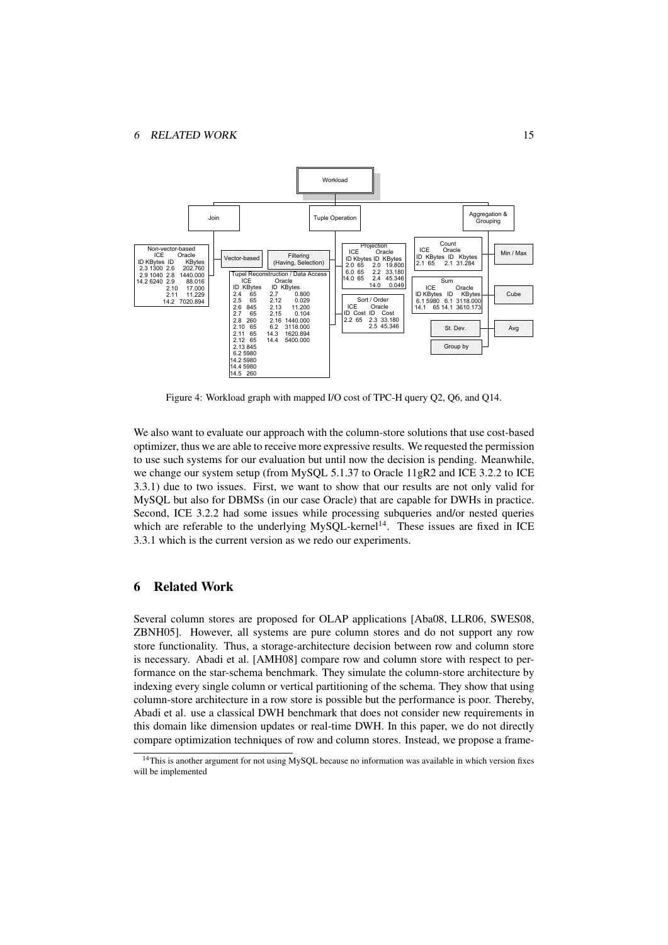

Figure 4: Workload graph with mapped I/O cost of TPC-H query Q2, Q6, and Q14.

We also want to evaluate our approach with the column-store solutions that use cost-based optimizer, thus we are able to receive more expressive results. We requested the permission to use such systems for our evaluation but until now the decision is pending. Meanwhile, we change our system setup (from MySQL 5.1.37 to Oracle 11gR2 and ICE 3.2.2 to ICE 3.3.1) due to two issues. First, we want to show that our results are not only valid for MySQL but also for DBMSs (in our case Oracle) that are capable for DWHs in practice. Second, ICE 3.2.2 had some issues while processing subqueries and/or nested queries which are referable to the underlying MySOL-kernel<sup>14</sup>. These issues are fixed in ICE 3.3.1 which is the current version as we redo our experiments.

### 6 Related Work

Several column stores are proposed for OLAP applications [Aba08, LLR06, SWES08, ZBNH05]. However, all systems are pure column stores and do not support any row store functionality. Thus, a storage-architecture decision between row and column store is necessary. Abadi et al. [AMH08] compare row and column store with respect to performance on the star-schema benchmark. They simulate the column-store architecture by indexing every single column or vertical partitioning of the schema. They show that using column-store architecture in a row store is possible but the performance is poor. Thereby, Abadi et al. use a classical DWH benchmark that does not consider new requirements in this domain like dimension updates or real-time DWH. In this paper, we do not directly compare optimization techniques of row and column stores. Instead, we propose a frame-

<sup>&</sup>lt;sup>14</sup>This is another argument for not using MySQL because no information was available in which version fixes will be implemented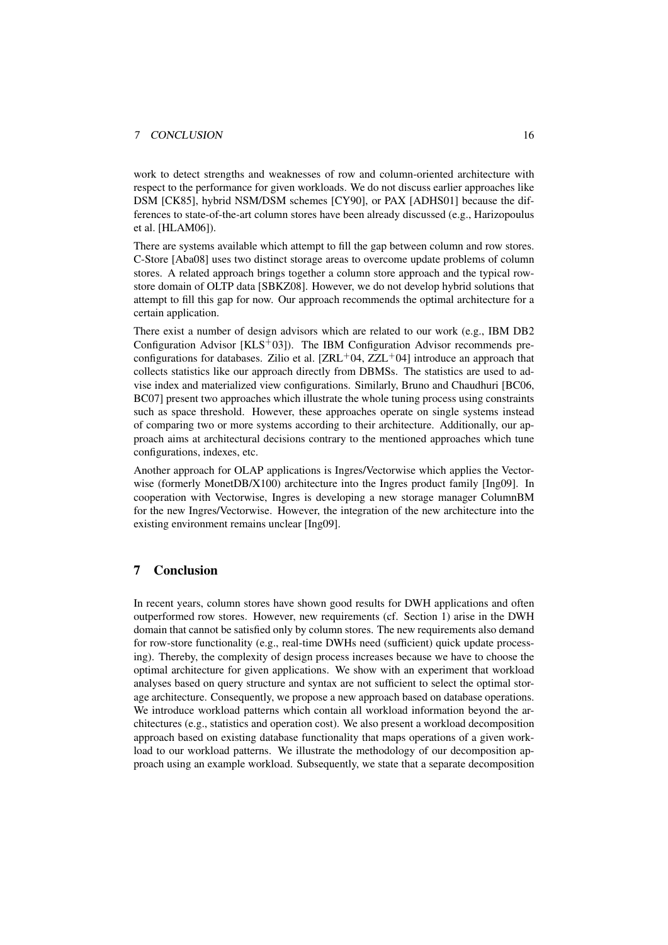#### 7 CONCLUSION 16

work to detect strengths and weaknesses of row and column-oriented architecture with respect to the performance for given workloads. We do not discuss earlier approaches like DSM [CK85], hybrid NSM/DSM schemes [CY90], or PAX [ADHS01] because the differences to state-of-the-art column stores have been already discussed (e.g., Harizopoulus et al. [HLAM06]).

There are systems available which attempt to fill the gap between column and row stores. C-Store [Aba08] uses two distinct storage areas to overcome update problems of column stores. A related approach brings together a column store approach and the typical rowstore domain of OLTP data [SBKZ08]. However, we do not develop hybrid solutions that attempt to fill this gap for now. Our approach recommends the optimal architecture for a certain application.

There exist a number of design advisors which are related to our work (e.g., IBM DB2 Configuration Advisor  $[KLS<sup>+</sup>03]$ . The IBM Configuration Advisor recommends preconfigurations for databases. Zilio et al.  $[ZRL^{+}04, ZZL^{+}04]$  introduce an approach that collects statistics like our approach directly from DBMSs. The statistics are used to advise index and materialized view configurations. Similarly, Bruno and Chaudhuri [BC06, BC07] present two approaches which illustrate the whole tuning process using constraints such as space threshold. However, these approaches operate on single systems instead of comparing two or more systems according to their architecture. Additionally, our approach aims at architectural decisions contrary to the mentioned approaches which tune configurations, indexes, etc.

Another approach for OLAP applications is Ingres/Vectorwise which applies the Vectorwise (formerly MonetDB/X100) architecture into the Ingres product family [Ing09]. In cooperation with Vectorwise, Ingres is developing a new storage manager ColumnBM for the new Ingres/Vectorwise. However, the integration of the new architecture into the existing environment remains unclear [Ing09].

### 7 Conclusion

In recent years, column stores have shown good results for DWH applications and often outperformed row stores. However, new requirements (cf. Section 1) arise in the DWH domain that cannot be satisfied only by column stores. The new requirements also demand for row-store functionality (e.g., real-time DWHs need (sufficient) quick update processing). Thereby, the complexity of design process increases because we have to choose the optimal architecture for given applications. We show with an experiment that workload analyses based on query structure and syntax are not sufficient to select the optimal storage architecture. Consequently, we propose a new approach based on database operations. We introduce workload patterns which contain all workload information beyond the architectures (e.g., statistics and operation cost). We also present a workload decomposition approach based on existing database functionality that maps operations of a given workload to our workload patterns. We illustrate the methodology of our decomposition approach using an example workload. Subsequently, we state that a separate decomposition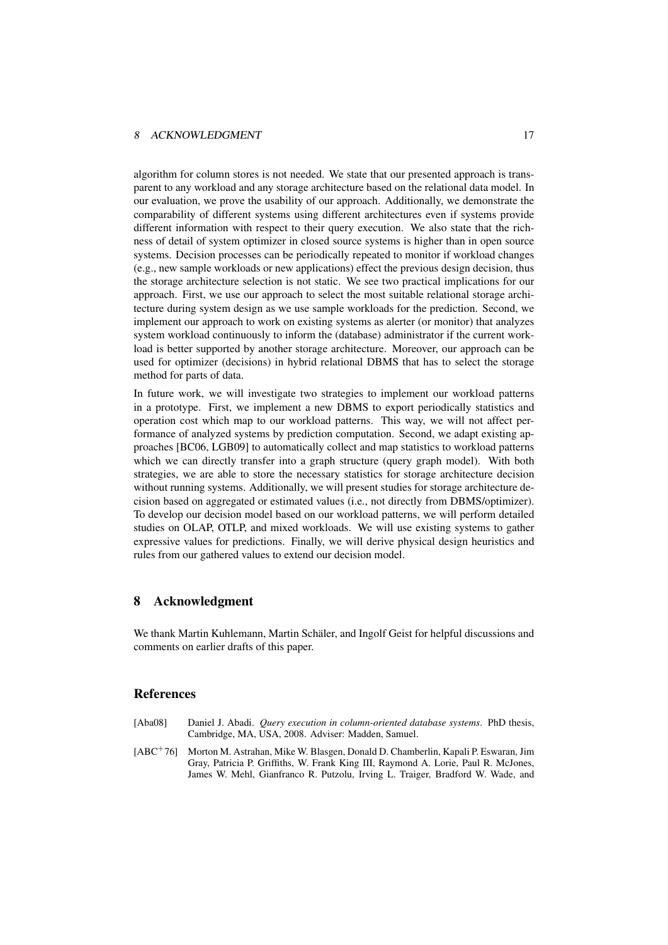#### 8 ACKNOWLEDGMENT 17

algorithm for column stores is not needed. We state that our presented approach is transparent to any workload and any storage architecture based on the relational data model. In our evaluation, we prove the usability of our approach. Additionally, we demonstrate the comparability of different systems using different architectures even if systems provide different information with respect to their query execution. We also state that the richness of detail of system optimizer in closed source systems is higher than in open source systems. Decision processes can be periodically repeated to monitor if workload changes (e.g., new sample workloads or new applications) effect the previous design decision, thus the storage architecture selection is not static. We see two practical implications for our approach. First, we use our approach to select the most suitable relational storage architecture during system design as we use sample workloads for the prediction. Second, we implement our approach to work on existing systems as alerter (or monitor) that analyzes system workload continuously to inform the (database) administrator if the current workload is better supported by another storage architecture. Moreover, our approach can be used for optimizer (decisions) in hybrid relational DBMS that has to select the storage method for parts of data.

In future work, we will investigate two strategies to implement our workload patterns in a prototype. First, we implement a new DBMS to export periodically statistics and operation cost which map to our workload patterns. This way, we will not affect performance of analyzed systems by prediction computation. Second, we adapt existing approaches [BC06, LGB09] to automatically collect and map statistics to workload patterns which we can directly transfer into a graph structure (query graph model). With both strategies, we are able to store the necessary statistics for storage architecture decision without running systems. Additionally, we will present studies for storage architecture decision based on aggregated or estimated values (i.e., not directly from DBMS/optimizer). To develop our decision model based on our workload patterns, we will perform detailed studies on OLAP, OTLP, and mixed workloads. We will use existing systems to gather expressive values for predictions. Finally, we will derive physical design heuristics and rules from our gathered values to extend our decision model.

### 8 Acknowledgment

We thank Martin Kuhlemann, Martin Schäler, and Ingolf Geist for helpful discussions and comments on earlier drafts of this paper.

### References

- [Aba08] Daniel J. Abadi. *Query execution in column-oriented database systems*. PhD thesis, Cambridge, MA, USA, 2008. Adviser: Madden, Samuel.
- [ABC<sup>+</sup>76] Morton M. Astrahan, Mike W. Blasgen, Donald D. Chamberlin, Kapali P. Eswaran, Jim Gray, Patricia P. Griffiths, W. Frank King III, Raymond A. Lorie, Paul R. McJones, James W. Mehl, Gianfranco R. Putzolu, Irving L. Traiger, Bradford W. Wade, and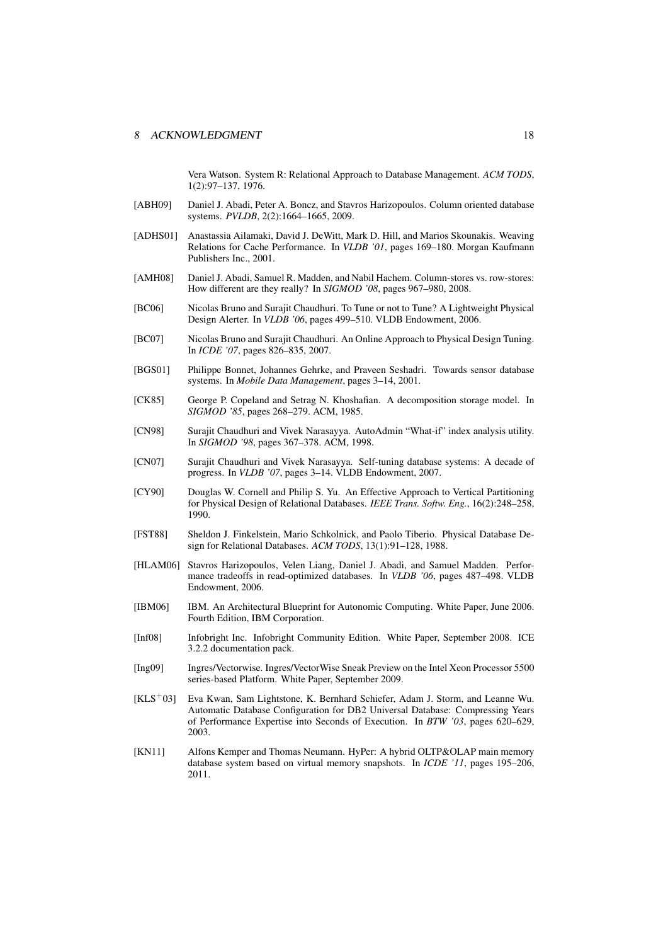Vera Watson. System R: Relational Approach to Database Management. *ACM TODS*, 1(2):97–137, 1976.

- [ABH09] Daniel J. Abadi, Peter A. Boncz, and Stavros Harizopoulos. Column oriented database systems. *PVLDB*, 2(2):1664–1665, 2009.
- [ADHS01] Anastassia Ailamaki, David J. DeWitt, Mark D. Hill, and Marios Skounakis. Weaving Relations for Cache Performance. In *VLDB '01*, pages 169–180. Morgan Kaufmann Publishers Inc., 2001.
- [AMH08] Daniel J. Abadi, Samuel R. Madden, and Nabil Hachem. Column-stores vs. row-stores: How different are they really? In *SIGMOD '08*, pages 967–980, 2008.
- [BC06] Nicolas Bruno and Surajit Chaudhuri. To Tune or not to Tune? A Lightweight Physical Design Alerter. In *VLDB '06*, pages 499–510. VLDB Endowment, 2006.
- [BC07] Nicolas Bruno and Surajit Chaudhuri. An Online Approach to Physical Design Tuning. In *ICDE '07*, pages 826–835, 2007.
- [BGS01] Philippe Bonnet, Johannes Gehrke, and Praveen Seshadri. Towards sensor database systems. In *Mobile Data Management*, pages 3–14, 2001.
- [CK85] George P. Copeland and Setrag N. Khoshafian. A decomposition storage model. In *SIGMOD '85*, pages 268–279. ACM, 1985.
- [CN98] Surajit Chaudhuri and Vivek Narasayya. AutoAdmin "What-if" index analysis utility. In *SIGMOD '98*, pages 367–378. ACM, 1998.
- [CN07] Surajit Chaudhuri and Vivek Narasayya. Self-tuning database systems: A decade of progress. In *VLDB '07*, pages 3–14. VLDB Endowment, 2007.
- [CY90] Douglas W. Cornell and Philip S. Yu. An Effective Approach to Vertical Partitioning for Physical Design of Relational Databases. *IEEE Trans. Softw. Eng.*, 16(2):248–258, 1990.
- [FST88] Sheldon J. Finkelstein, Mario Schkolnick, and Paolo Tiberio. Physical Database Design for Relational Databases. *ACM TODS*, 13(1):91–128, 1988.
- [HLAM06] Stavros Harizopoulos, Velen Liang, Daniel J. Abadi, and Samuel Madden. Performance tradeoffs in read-optimized databases. In *VLDB '06*, pages 487–498. VLDB Endowment, 2006.
- [IBM06] IBM. An Architectural Blueprint for Autonomic Computing. White Paper, June 2006. Fourth Edition, IBM Corporation.
- [Inf08] Infobright Inc. Infobright Community Edition. White Paper, September 2008. ICE 3.2.2 documentation pack.
- [Ing09] Ingres/Vectorwise. Ingres/VectorWise Sneak Preview on the Intel Xeon Processor 5500 series-based Platform. White Paper, September 2009.
- [KLS<sup>+</sup>03] Eva Kwan, Sam Lightstone, K. Bernhard Schiefer, Adam J. Storm, and Leanne Wu. Automatic Database Configuration for DB2 Universal Database: Compressing Years of Performance Expertise into Seconds of Execution. In *BTW '03*, pages 620–629, 2003.
- [KN11] Alfons Kemper and Thomas Neumann. HyPer: A hybrid OLTP&OLAP main memory database system based on virtual memory snapshots. In *ICDE '11*, pages 195–206, 2011.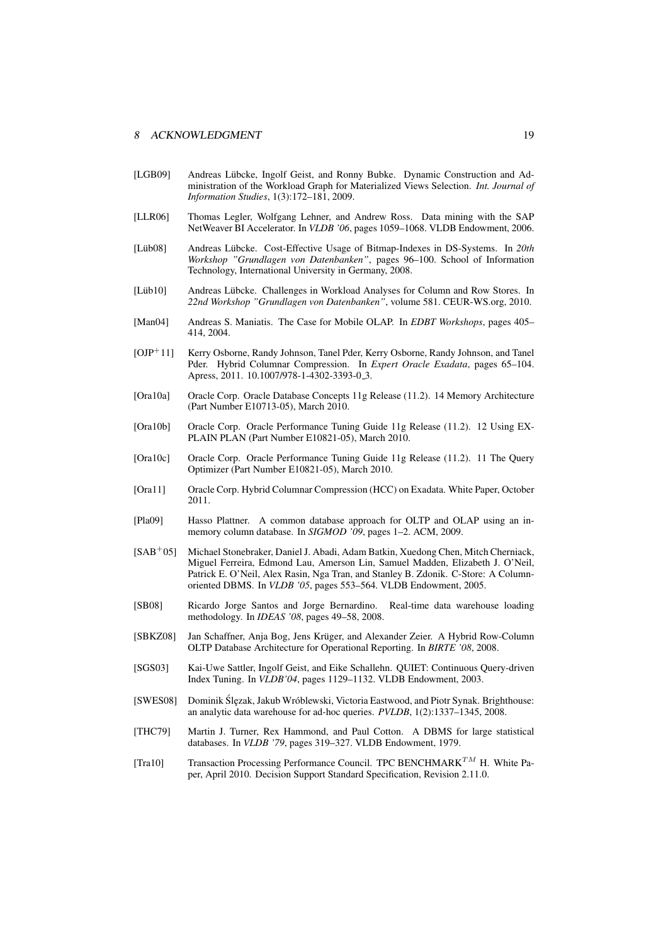#### 8 ACKNOWLEDGMENT 19

- [LGB09] Andreas Lübcke, Ingolf Geist, and Ronny Bubke. Dynamic Construction and Administration of the Workload Graph for Materialized Views Selection. *Int. Journal of Information Studies*, 1(3):172–181, 2009.
- [LLR06] Thomas Legler, Wolfgang Lehner, and Andrew Ross. Data mining with the SAP NetWeaver BI Accelerator. In *VLDB '06*, pages 1059–1068. VLDB Endowment, 2006.
- [Lüb08] Andreas Lübcke. Cost-Effective Usage of Bitmap-Indexes in DS-Systems. In 20th *Workshop "Grundlagen von Datenbanken"*, pages 96–100. School of Information Technology, International University in Germany, 2008.
- [Lüb10] Andreas Lübcke. Challenges in Workload Analyses for Column and Row Stores. In *22nd Workshop "Grundlagen von Datenbanken"*, volume 581. CEUR-WS.org, 2010.
- [Man04] Andreas S. Maniatis. The Case for Mobile OLAP. In *EDBT Workshops*, pages 405– 414, 2004.
- [OJP<sup>+</sup>11] Kerry Osborne, Randy Johnson, Tanel Pder, Kerry Osborne, Randy Johnson, and Tanel Pder. Hybrid Columnar Compression. In *Expert Oracle Exadata*, pages 65–104. Apress, 2011. 10.1007/978-1-4302-3393-0\_3.
- [Ora10a] Oracle Corp. Oracle Database Concepts 11g Release (11.2). 14 Memory Architecture (Part Number E10713-05), March 2010.
- [Ora10b] Oracle Corp. Oracle Performance Tuning Guide 11g Release (11.2). 12 Using EX-PLAIN PLAN (Part Number E10821-05), March 2010.
- [Ora10c] Oracle Corp. Oracle Performance Tuning Guide 11g Release (11.2). 11 The Query Optimizer (Part Number E10821-05), March 2010.
- [Ora11] Oracle Corp. Hybrid Columnar Compression (HCC) on Exadata. White Paper, October 2011.
- [Pla09] Hasso Plattner. A common database approach for OLTP and OLAP using an inmemory column database. In *SIGMOD '09*, pages 1–2. ACM, 2009.
- [SAB<sup>+</sup>05] Michael Stonebraker, Daniel J. Abadi, Adam Batkin, Xuedong Chen, Mitch Cherniack, Miguel Ferreira, Edmond Lau, Amerson Lin, Samuel Madden, Elizabeth J. O'Neil, Patrick E. O'Neil, Alex Rasin, Nga Tran, and Stanley B. Zdonik. C-Store: A Columnoriented DBMS. In *VLDB '05*, pages 553–564. VLDB Endowment, 2005.
- [SB08] Ricardo Jorge Santos and Jorge Bernardino. Real-time data warehouse loading methodology. In *IDEAS '08*, pages 49–58, 2008.
- [SBKZ08] Jan Schaffner, Anja Bog, Jens Krüger, and Alexander Zeier. A Hybrid Row-Column OLTP Database Architecture for Operational Reporting. In *BIRTE '08*, 2008.
- [SGS03] Kai-Uwe Sattler, Ingolf Geist, and Eike Schallehn. QUIET: Continuous Query-driven Index Tuning. In *VLDB'04*, pages 1129–1132. VLDB Endowment, 2003.
- [SWES08] Dominik Ślęzak, Jakub Wróblewski, Victoria Eastwood, and Piotr Synak. Brighthouse: an analytic data warehouse for ad-hoc queries. *PVLDB*, 1(2):1337–1345, 2008.
- [THC79] Martin J. Turner, Rex Hammond, and Paul Cotton. A DBMS for large statistical databases. In *VLDB '79*, pages 319–327. VLDB Endowment, 1979.
- [Tra10] Transaction Processing Performance Council. TPC BENCHMARK<sup>TM</sup> H. White Paper, April 2010. Decision Support Standard Specification, Revision 2.11.0.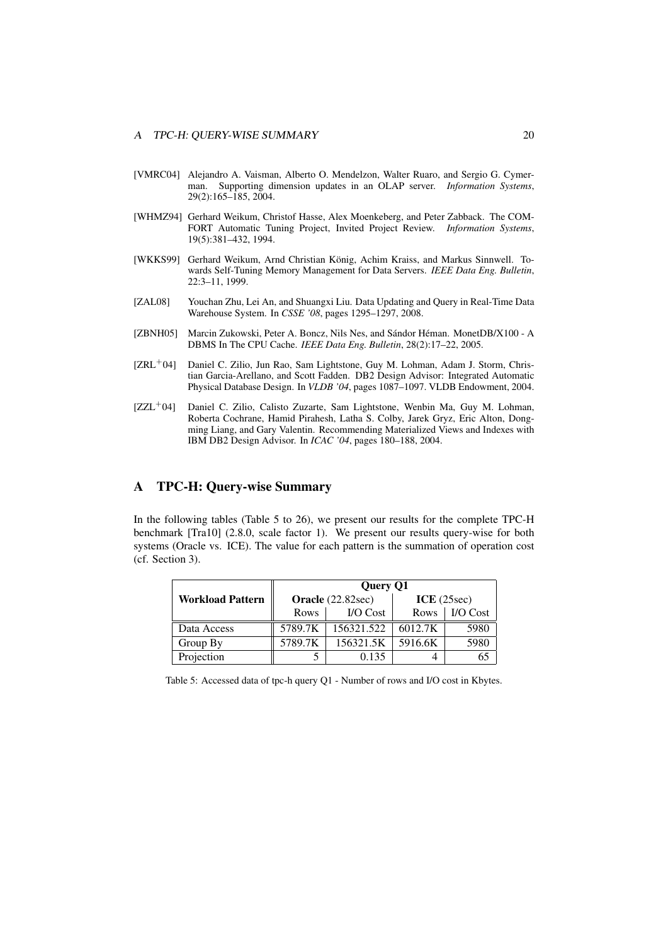- [VMRC04] Alejandro A. Vaisman, Alberto O. Mendelzon, Walter Ruaro, and Sergio G. Cymerman. Supporting dimension updates in an OLAP server. *Information Systems*, 29(2):165–185, 2004.
- [WHMZ94] Gerhard Weikum, Christof Hasse, Alex Moenkeberg, and Peter Zabback. The COM-FORT Automatic Tuning Project, Invited Project Review. *Information Systems*, 19(5):381–432, 1994.
- [WKKS99] Gerhard Weikum, Arnd Christian König, Achim Kraiss, and Markus Sinnwell. Towards Self-Tuning Memory Management for Data Servers. *IEEE Data Eng. Bulletin*, 22:3–11, 1999.
- [ZAL08] Youchan Zhu, Lei An, and Shuangxi Liu. Data Updating and Query in Real-Time Data Warehouse System. In *CSSE '08*, pages 1295–1297, 2008.
- [ZBNH05] Marcin Zukowski, Peter A. Boncz, Nils Nes, and Sándor Héman. MonetDB/X100 A DBMS In The CPU Cache. *IEEE Data Eng. Bulletin*, 28(2):17–22, 2005.
- [ZRL<sup>+</sup>04] Daniel C. Zilio, Jun Rao, Sam Lightstone, Guy M. Lohman, Adam J. Storm, Christian Garcia-Arellano, and Scott Fadden. DB2 Design Advisor: Integrated Automatic Physical Database Design. In *VLDB '04*, pages 1087–1097. VLDB Endowment, 2004.
- [ZZL<sup>+</sup>04] Daniel C. Zilio, Calisto Zuzarte, Sam Lightstone, Wenbin Ma, Guy M. Lohman, Roberta Cochrane, Hamid Pirahesh, Latha S. Colby, Jarek Gryz, Eric Alton, Dongming Liang, and Gary Valentin. Recommending Materialized Views and Indexes with IBM DB2 Design Advisor. In *ICAC '04*, pages 180–188, 2004.

### A TPC-H: Query-wise Summary

In the following tables (Table 5 to 26), we present our results for the complete TPC-H benchmark [Tra10] (2.8.0, scale factor 1). We present our results query-wise for both systems (Oracle vs. ICE). The value for each pattern is the summation of operation cost (cf. Section 3).

|                         | Query Q1          |            |            |          |  |  |
|-------------------------|-------------------|------------|------------|----------|--|--|
| <b>Workload Pattern</b> | Oracle (22.82sec) |            | ICE(25sec) |          |  |  |
|                         | <b>Rows</b>       | $IO Cost$  | Rows       | I/O Cost |  |  |
| Data Access             | 5789.7K           | 156321.522 | 6012.7K    | 5980     |  |  |
| Group By                | 5789.7K           | 156321.5K  | 5916.6K    | 5980     |  |  |
| Projection              |                   | 0.135      |            |          |  |  |

Table 5: Accessed data of tpc-h query Q1 - Number of rows and I/O cost in Kbytes.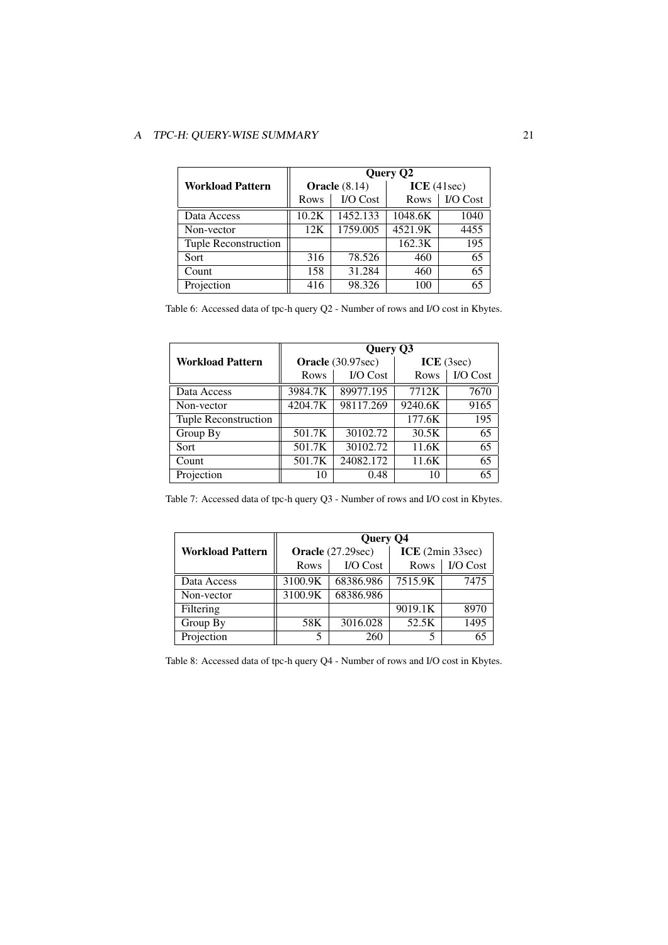|                         |                      |          | Query Q2      |          |
|-------------------------|----------------------|----------|---------------|----------|
| <b>Workload Pattern</b> | <b>Oracle</b> (8.14) |          | ICE $(41sec)$ |          |
|                         | Rows                 | I/O Cost | Rows          | I/O Cost |
| Data Access             | 10.2K                | 1452.133 | 1048.6K       | 1040     |
| Non-vector              | 12K                  | 1759.005 | 4521.9K       | 4455     |
| Tuple Reconstruction    |                      |          | 162.3K        | 195      |
| Sort                    | 316                  | 78.526   | 460           | 65       |
| Count                   | 158                  | 31.284   | 460           | 65       |
| Projection              | 416                  | 98.326   | 100           | 65       |

Table 6: Accessed data of tpc-h query Q2 - Number of rows and I/O cost in Kbytes.

|                         | Query Q3          |           |            |          |  |
|-------------------------|-------------------|-----------|------------|----------|--|
| <b>Workload Pattern</b> | Oracle (30.97sec) |           | ICE (3sec) |          |  |
|                         | Rows              | I/O Cost  | Rows       | I/O Cost |  |
| Data Access             | 3984.7K           | 89977.195 | 7712K      | 7670     |  |
| Non-vector              | 4204.7K           | 98117.269 | 9240.6K    | 9165     |  |
| Tuple Reconstruction    |                   |           | 177.6K     | 195      |  |
| Group By                | 501.7K            | 30102.72  | 30.5K      | 65       |  |
| Sort                    | 501.7K            | 30102.72  | 11.6K      | 65       |  |
| Count                   | 501.7K            | 24082.172 | 11.6K      | 65       |  |
| Projection              | 10                | 0.48      | 10         | 65       |  |

| Table 7: Accessed data of tpc-h query Q3 - Number of rows and I/O cost in Kbytes. |  |  |  |  |  |  |
|-----------------------------------------------------------------------------------|--|--|--|--|--|--|
|-----------------------------------------------------------------------------------|--|--|--|--|--|--|

|                         |                   | <b>Query Q4</b> |                  |          |  |
|-------------------------|-------------------|-----------------|------------------|----------|--|
| <b>Workload Pattern</b> | Oracle (27.29sec) |                 | ICE (2min 33sec) |          |  |
|                         | Rows              | <b>I/O</b> Cost | Rows             | I/O Cost |  |
| Data Access             | 3100.9K           | 68386.986       | 7515.9K          | 7475     |  |
| Non-vector              | 3100.9K           | 68386.986       |                  |          |  |
| Filtering               |                   |                 | 9019.1K          | 8970     |  |
| Group By                | 58K               | 3016.028        | 52.5K            | 1495     |  |
| Projection              | 5                 | 260             | 5                |          |  |

Table 8: Accessed data of tpc-h query Q4 - Number of rows and I/O cost in Kbytes.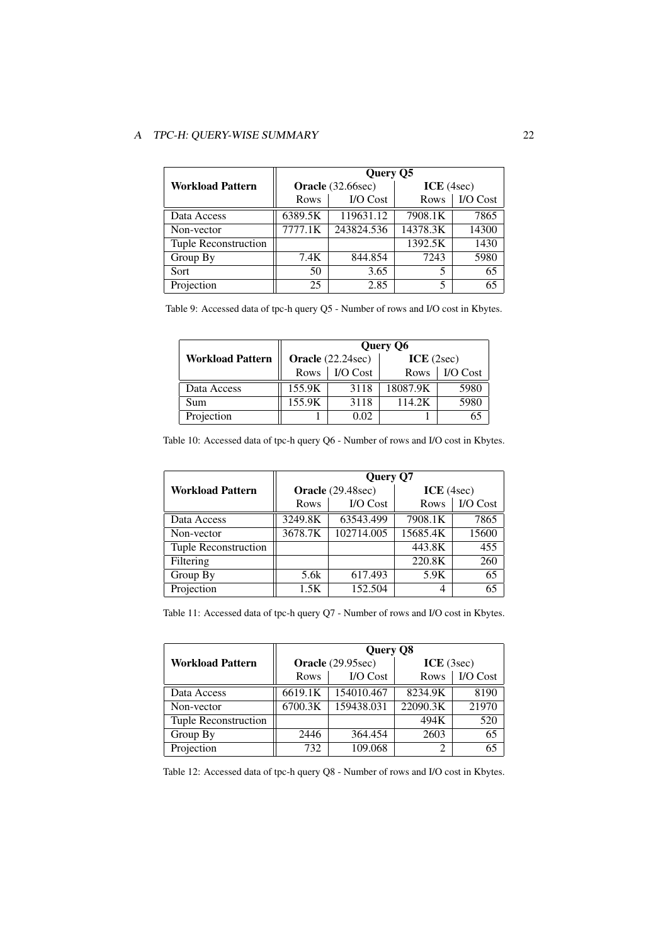|                         |         | Query Q5          |            |                 |  |
|-------------------------|---------|-------------------|------------|-----------------|--|
| <b>Workload Pattern</b> |         | Oracle (32.66sec) | ICE (4sec) |                 |  |
|                         | Rows    | I/O Cost          | Rows       | <b>I/O</b> Cost |  |
| Data Access             | 6389.5K | 119631.12         | 7908.1K    | 7865            |  |
| Non-vector              | 7777.1K | 243824.536        | 14378.3K   | 14300           |  |
| Tuple Reconstruction    |         |                   | 1392.5K    | 1430            |  |
| Group By                | 7.4K    | 844.854           | 7243       | 5980            |  |
| Sort                    | 50      | 3.65              |            | 65              |  |
| Projection              | 25      | 2.85              | 5          | 65              |  |

Table 9: Accessed data of tpc-h query Q5 - Number of rows and I/O cost in Kbytes.

|                         | Query Q6          |          |            |          |  |
|-------------------------|-------------------|----------|------------|----------|--|
| <b>Workload Pattern</b> | Oracle (22.24sec) |          | ICE (2sec) |          |  |
|                         | <b>Rows</b>       | I/O Cost | Rows       | I/O Cost |  |
| Data Access             | 155.9K            | 3118     | 18087.9K   | 5980     |  |
| Sum                     | 155.9K            | 3118     | 114.2K     | 5980     |  |
| Projection              |                   | 0.02     |            |          |  |

Table 10: Accessed data of tpc-h query Q6 - Number of rows and I/O cost in Kbytes.

|                         | Query Q7          |            |            |                 |  |
|-------------------------|-------------------|------------|------------|-----------------|--|
| <b>Workload Pattern</b> | Oracle (29.48sec) |            | ICE (4sec) |                 |  |
|                         | <b>Rows</b>       | I/O Cost   | Rows       | <b>I/O</b> Cost |  |
| Data Access             | 3249.8K           | 63543.499  | 7908.1K    | 7865            |  |
| Non-vector              | 3678.7K           | 102714.005 | 15685.4K   | 15600           |  |
| Tuple Reconstruction    |                   |            | 443.8K     | 455             |  |
| Filtering               |                   |            | 220.8K     | 260             |  |
| Group By                | 5.6k              | 617.493    | 5.9K       | 65              |  |
| Projection              | 1.5K              | 152.504    | 4          | 65              |  |

Table 11: Accessed data of tpc-h query Q7 - Number of rows and I/O cost in Kbytes.

|                         | Query Q8          |            |            |          |  |
|-------------------------|-------------------|------------|------------|----------|--|
| <b>Workload Pattern</b> | Oracle (29.95sec) |            | ICE (3sec) |          |  |
|                         | <b>Rows</b>       | I/O Cost   | Rows       | I/O Cost |  |
| Data Access             | 6619.1K           | 154010.467 | 8234.9K    | 8190     |  |
| Non-vector              | 6700.3K           | 159438.031 | 22090.3K   | 21970    |  |
| Tuple Reconstruction    |                   |            | 494K       | 520      |  |
| Group By                | 2446              | 364.454    | 2603       | 65       |  |
| Projection              | 732               | 109.068    |            | 65       |  |

Table 12: Accessed data of tpc-h query Q8 - Number of rows and I/O cost in Kbytes.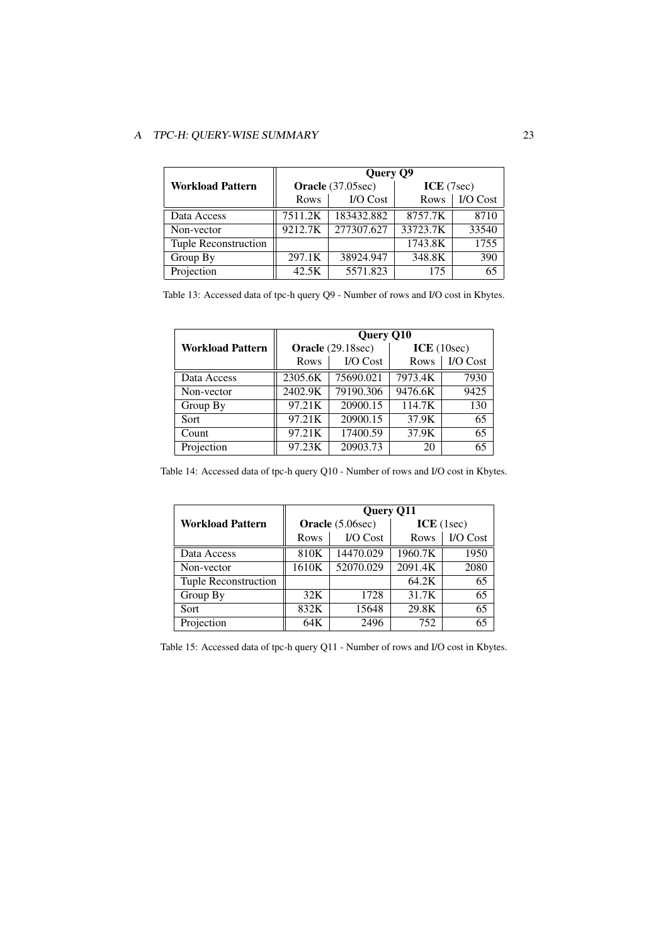|                         | Query Q9          |            |            |          |  |
|-------------------------|-------------------|------------|------------|----------|--|
| <b>Workload Pattern</b> | Oracle (37.05sec) |            | ICE (7sec) |          |  |
|                         | <b>Rows</b>       | I/O Cost   | Rows       | I/O Cost |  |
| Data Access             | 7511.2K           | 183432.882 | 8757.7K    | 8710     |  |
| Non-vector              | 9212.7K           | 277307.627 | 33723.7K   | 33540    |  |
| Tuple Reconstruction    |                   |            | 1743.8K    | 1755     |  |
| Group By                | 297.1K            | 38924.947  | 348.8K     | 390      |  |
| Projection              | 42.5K             | 5571.823   | 175        | 65       |  |

Table 13: Accessed data of tpc-h query Q9 - Number of rows and I/O cost in Kbytes.

|                         | <b>Query Q10</b> |                   |            |                 |
|-------------------------|------------------|-------------------|------------|-----------------|
| <b>Workload Pattern</b> |                  | Oracle (29.18sec) | ICE(10sec) |                 |
|                         | Rows             | I/O Cost          | Rows       | <b>I/O</b> Cost |
| Data Access             | 2305.6K          | 75690.021         | 7973.4K    | 7930            |
| Non-vector              | 2402.9K          | 79190.306         | 9476.6K    | 9425            |
| Group By                | 97.21K           | 20900.15          | 114.7K     | 130             |
| Sort                    | 97.21K           | 20900.15          | 37.9K      | 65              |
| Count                   | 97.21K           | 17400.59          | 37.9K      | 65              |
| Projection              | 97.23K           | 20903.73          | 20         | 65              |

Table 14: Accessed data of tpc-h query Q10 - Number of rows and I/O cost in Kbytes.

|                         | <b>Query Q11</b> |                 |            |          |  |
|-------------------------|------------------|-----------------|------------|----------|--|
| <b>Workload Pattern</b> | Oracle (5.06sec) |                 | ICE (1sec) |          |  |
|                         | Rows             | <b>I/O</b> Cost | Rows       | I/O Cost |  |
| Data Access             | 810K             | 14470.029       | 1960.7K    | 1950     |  |
| Non-vector              | 1610K            | 52070.029       | 2091.4K    | 2080     |  |
| Tuple Reconstruction    |                  |                 | 64.2K      | 65       |  |
| Group By                | 32K              | 1728            | 31.7K      | 65       |  |
| Sort                    | 832K             | 15648           | 29.8K      | 65       |  |
| Projection              | 64K              | 2496            | 752        | 65       |  |

Table 15: Accessed data of tpc-h query Q11 - Number of rows and I/O cost in Kbytes.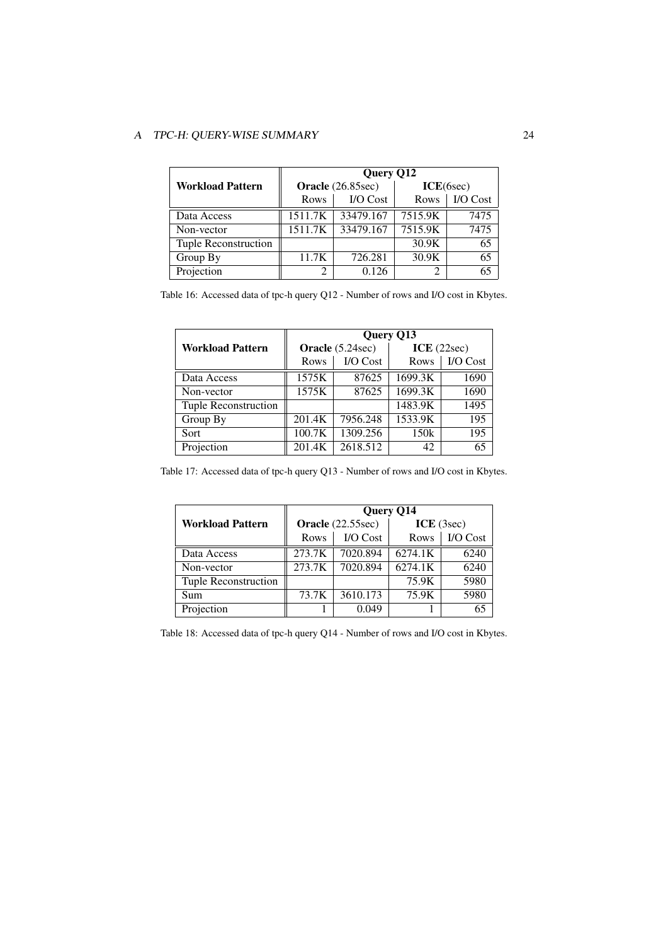|                         | Query Q12         |           |           |          |
|-------------------------|-------------------|-----------|-----------|----------|
| <b>Workload Pattern</b> | Oracle (26.85sec) |           | ICE(6sec) |          |
|                         | Rows              | I/O Cost  | Rows      | I/O Cost |
| Data Access             | 1511.7K           | 33479.167 | 7515.9K   | 7475     |
| Non-vector              | 1511.7K           | 33479.167 | 7515.9K   | 7475     |
| Tuple Reconstruction    |                   |           | 30.9K     | 65       |
| Group By                | 11.7K             | 726.281   | 30.9K     | 65       |
| Projection              |                   | 0.126     |           | 65       |

Table 16: Accessed data of tpc-h query Q12 - Number of rows and I/O cost in Kbytes.

|                             | Query Q13 |                  |            |                 |
|-----------------------------|-----------|------------------|------------|-----------------|
| <b>Workload Pattern</b>     |           | Oracle (5.24sec) | ICE(22sec) |                 |
|                             | Rows      | $IO Cost$        | Rows       | <b>I/O</b> Cost |
| Data Access                 | 1575K     | 87625            | 1699.3K    | 1690            |
| Non-vector                  | 1575K     | 87625            | 1699.3K    | 1690            |
| <b>Tuple Reconstruction</b> |           |                  | 1483.9K    | 1495            |
| Group By                    | 201.4K    | 7956.248         | 1533.9K    | 195             |
| Sort                        | 100.7K    | 1309.256         | 150k       | 195             |
| Projection                  | 201.4K    | 2618.512         | 42         | 65              |

Table 17: Accessed data of tpc-h query Q13 - Number of rows and I/O cost in Kbytes.

|                         | Query Q14         |           |            |          |
|-------------------------|-------------------|-----------|------------|----------|
| <b>Workload Pattern</b> | Oracle (22.55sec) |           | ICE (3sec) |          |
|                         | Rows              | $IO Cost$ | Rows       | I/O Cost |
| Data Access             | 273.7K            | 7020.894  | 6274.1K    | 6240     |
| Non-vector              | 273.7K            | 7020.894  | 6274.1K    | 6240     |
| Tuple Reconstruction    |                   |           | 75.9K      | 5980     |
| Sum                     | 73.7K             | 3610.173  | 75.9K      | 5980     |
| Projection              |                   | 0.049     |            |          |

Table 18: Accessed data of tpc-h query Q14 - Number of rows and I/O cost in Kbytes.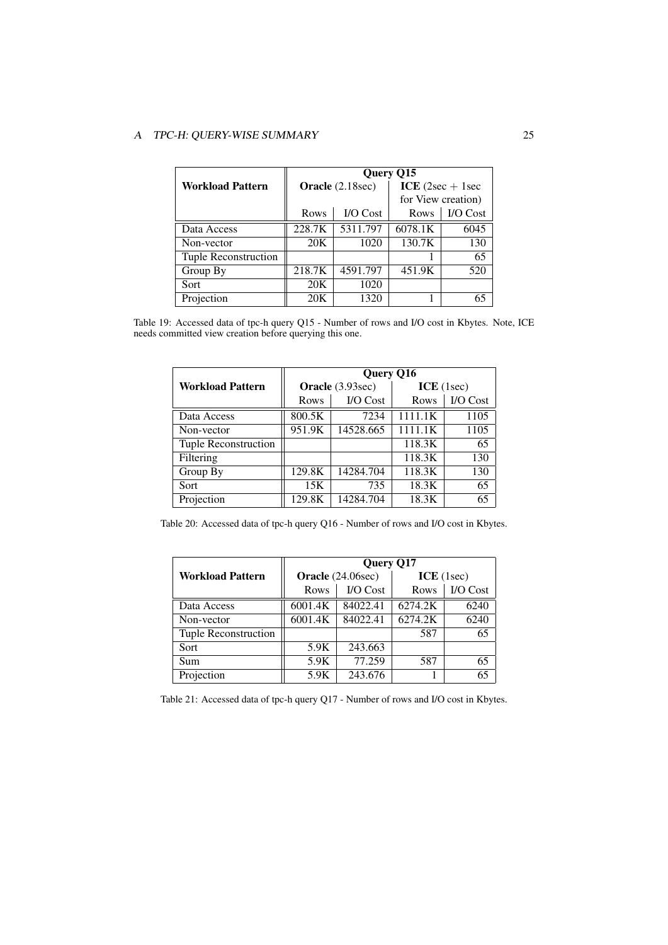|                         | Query Q15 |                  |                    |           |
|-------------------------|-----------|------------------|--------------------|-----------|
| <b>Workload Pattern</b> |           | Oracle (2.18sec) | ICE $(2sec + 1sec$ |           |
|                         |           |                  | for View creation) |           |
|                         | Rows      | <b>I/O</b> Cost  | Rows               | $IO Cost$ |
| Data Access             | 228.7K    | 5311.797         | 6078.1K            | 6045      |
| Non-vector              | 20K       | 1020             | 130.7K             | 130       |
| Tuple Reconstruction    |           |                  |                    | 65        |
| Group By                | 218.7K    | 4591.797         | 451.9K             | 520       |
| Sort                    | 20K       | 1020             |                    |           |
| Projection              | 20K       | 1320             |                    |           |

Table 19: Accessed data of tpc-h query Q15 - Number of rows and I/O cost in Kbytes. Note, ICE needs committed view creation before querying this one.

|                             | Query Q16 |                  |           |          |
|-----------------------------|-----------|------------------|-----------|----------|
| <b>Workload Pattern</b>     |           | Oracle (3.93sec) | ICE(1sec) |          |
|                             | Rows      | <b>I/O</b> Cost  | Rows      | I/O Cost |
| Data Access                 | 800.5K    | 7234             | 1111.1K   | 1105     |
| Non-vector                  | 951.9K    | 14528.665        | 1111.1K   | 1105     |
| <b>Tuple Reconstruction</b> |           |                  | 118.3K    | 65       |
| Filtering                   |           |                  | 118.3K    | 130      |
| Group By                    | 129.8K    | 14284.704        | 118.3K    | 130      |
| Sort                        | 15K       | 735              | 18.3K     | 65       |
| Projection                  | 129.8K    | 14284.704        | 18.3K     | 65       |

Table 20: Accessed data of tpc-h query Q16 - Number of rows and I/O cost in Kbytes.

|                         | Query Q17         |                 |           |          |
|-------------------------|-------------------|-----------------|-----------|----------|
| <b>Workload Pattern</b> | Oracle (24.06sec) |                 | ICE(1sec) |          |
|                         | Rows              | <b>I/O</b> Cost | Rows      | I/O Cost |
| Data Access             | 6001.4K           | 84022.41        | 6274.2K   | 6240     |
| Non-vector              | 6001.4K           | 84022.41        | 6274.2K   | 6240     |
| Tuple Reconstruction    |                   |                 | 587       | 65       |
| Sort                    | 5.9K              | 243.663         |           |          |
| Sum                     | 5.9K              | 77.259          | 587       | 65       |
| Projection              | 5.9K              | 243.676         |           | 65       |

Table 21: Accessed data of tpc-h query Q17 - Number of rows and I/O cost in Kbytes.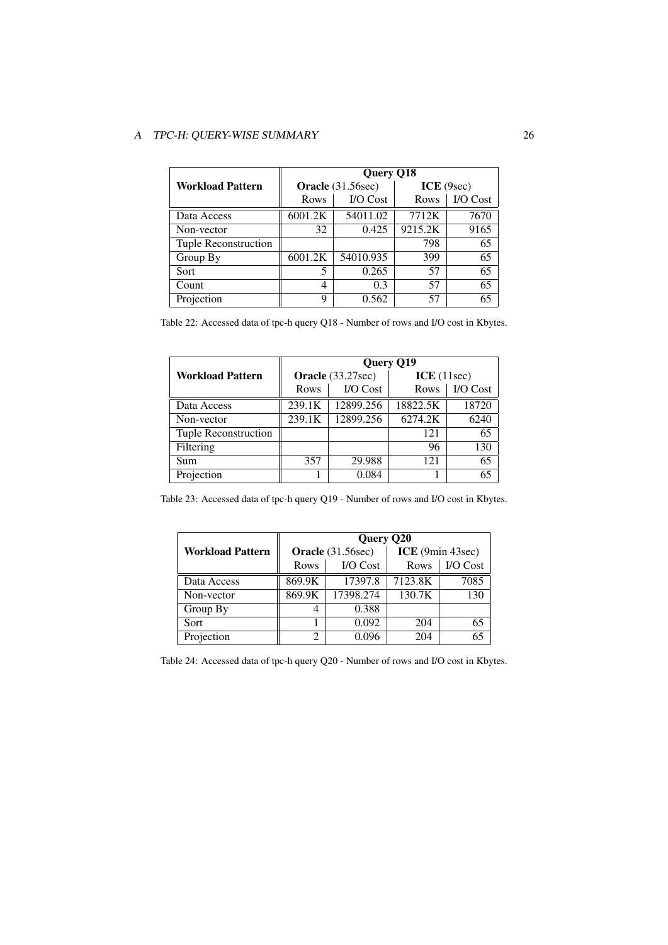|                         | <b>Query Q18</b>  |           |            |          |
|-------------------------|-------------------|-----------|------------|----------|
| <b>Workload Pattern</b> | Oracle (31.56sec) |           | ICE (9sec) |          |
|                         | Rows              | I/O Cost  | Rows       | I/O Cost |
| Data Access             | 6001.2K           | 54011.02  | 7712K      | 7670     |
| Non-vector              | 32                | 0.425     | 9215.2K    | 9165     |
| Tuple Reconstruction    |                   |           | 798        | 65       |
| Group By                | 6001.2K           | 54010.935 | 399        | 65       |
| Sort                    | 5                 | 0.265     | 57         | 65       |
| Count                   | 4                 | 0.3       | 57         | 65       |
| Projection              | Q                 | 0.562     | 57         | 65       |

Table 22: Accessed data of tpc-h query Q18 - Number of rows and I/O cost in Kbytes.

|                         | Query Q19         |                 |            |          |
|-------------------------|-------------------|-----------------|------------|----------|
| <b>Workload Pattern</b> | Oracle (33.27sec) |                 | ICE(11sec) |          |
|                         | Rows              | <b>I/O</b> Cost | Rows       | I/O Cost |
| Data Access             | 239.1K            | 12899.256       | 18822.5K   | 18720    |
| Non-vector              | 239.1K            | 12899.256       | 6274.2K    | 6240     |
| Tuple Reconstruction    |                   |                 | 121        | 65       |
| Filtering               |                   |                 | 96         | 130      |
| Sum                     | 357               | 29.988          | 121        | 65       |
| Projection              |                   | 0.084           |            | 65       |

Table 23: Accessed data of tpc-h query Q19 - Number of rows and I/O cost in Kbytes.

|                         | Query Q20         |           |                  |          |
|-------------------------|-------------------|-----------|------------------|----------|
| <b>Workload Pattern</b> | Oracle (31.56sec) |           | ICE (9min 43sec) |          |
|                         | Rows              | I/O Cost  | Rows             | I/O Cost |
| Data Access             | 869.9K            | 17397.8   | 7123.8K          | 7085     |
| Non-vector              | 869.9K            | 17398.274 | 130.7K           | 130      |
| Group By                |                   | 0.388     |                  |          |
| Sort                    |                   | 0.092     | 204              | 65       |
| Projection              |                   | 0.096     | 204              |          |

Table 24: Accessed data of tpc-h query Q20 - Number of rows and I/O cost in Kbytes.